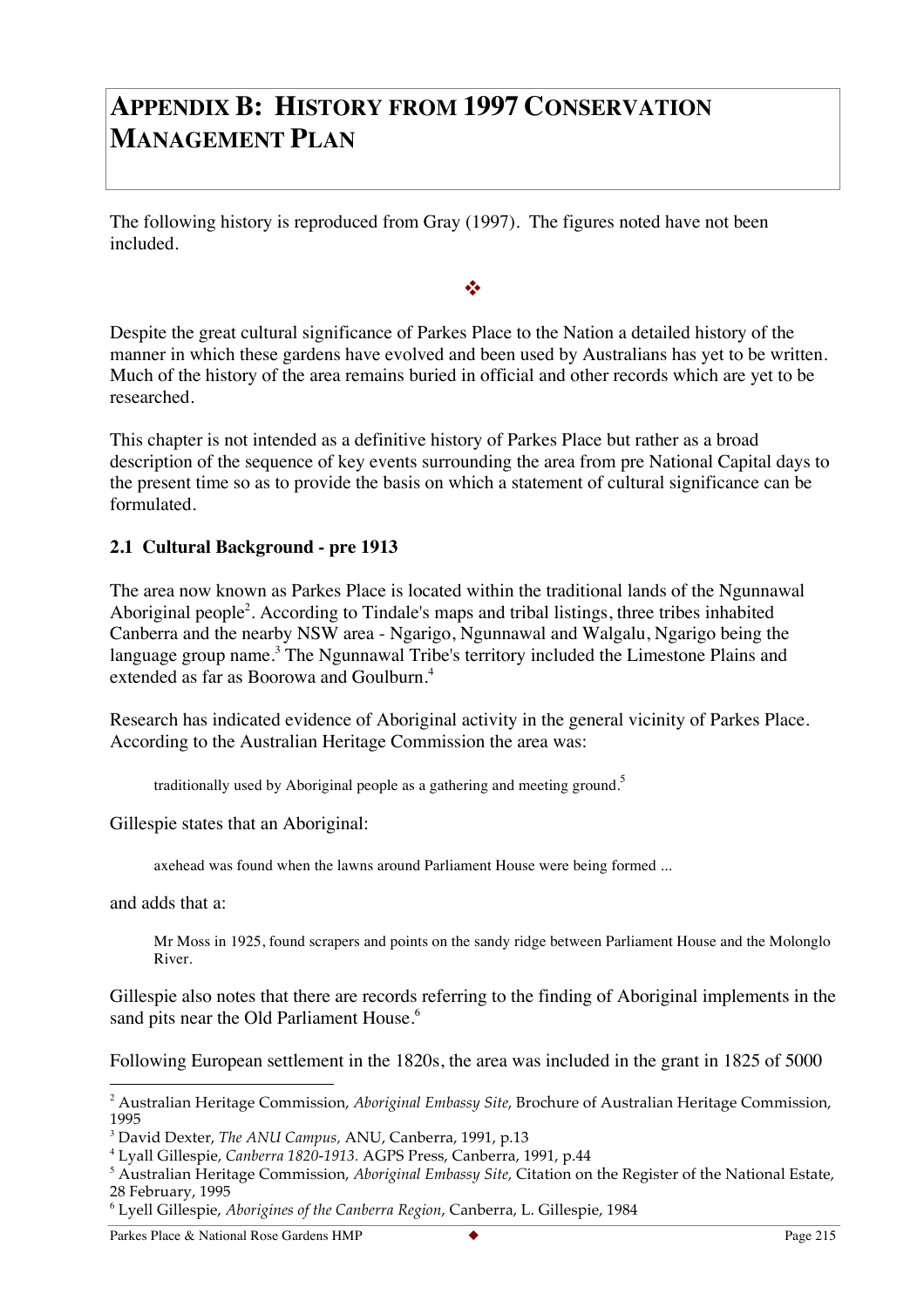# **APPENDIX B: HISTORY FROM 1997 CONSERVATION MANAGEMENT PLAN**

The following history is reproduced from Gray (1997). The figures noted have not been included.

Despite the great cultural significance of Parkes Place to the Nation a detailed history of the manner in which these gardens have evolved and been used by Australians has yet to be written. Much of the history of the area remains buried in official and other records which are yet to be researched.

 $\frac{1}{2}$ 

This chapter is not intended as a definitive history of Parkes Place but rather as a broad description of the sequence of key events surrounding the area from pre National Capital days to the present time so as to provide the basis on which a statement of cultural significance can be formulated.

#### **2.1 Cultural Background - pre 1913**

The area now known as Parkes Place is located within the traditional lands of the Ngunnawal Aboriginal people<sup>2</sup>. According to Tindale's maps and tribal listings, three tribes inhabited Canberra and the nearby NSW area - Ngarigo, Ngunnawal and Walgalu, Ngarigo being the language group name.<sup>3</sup> The Ngunnawal Tribe's territory included the Limestone Plains and extended as far as Boorowa and Goulburn.<sup>4</sup>

Research has indicated evidence of Aboriginal activity in the general vicinity of Parkes Place. According to the Australian Heritage Commission the area was:

traditionally used by Aboriginal people as a gathering and meeting ground.<sup>5</sup>

Gillespie states that an Aboriginal:

axehead was found when the lawns around Parliament House were being formed ...

and adds that a:

Mr Moss in 1925, found scrapers and points on the sandy ridge between Parliament House and the Molonglo River.

Gillespie also notes that there are records referring to the finding of Aboriginal implements in the sand pits near the Old Parliament House.<sup>6</sup>

Following European settlement in the 1820s, the area was included in the grant in 1825 of 5000

 <sup>2</sup> Australian Heritage Commission, *Aboriginal Embassy Site*, Brochure of Australian Heritage Commission, 1995

<sup>3</sup> David Dexter, *The ANU Campus,* ANU, Canberra, 1991, p.13

<sup>4</sup> Lyall Gillespie, *Canberra 1820-1913.* AGPS Press, Canberra, 1991, p.44

<sup>5</sup> Australian Heritage Commission, *Aboriginal Embassy Site,* Citation on the Register of the National Estate, 28 February, 1995

<sup>6</sup> Lyell Gillespie, *Aborigines of the Canberra Region*, Canberra, L. Gillespie, 1984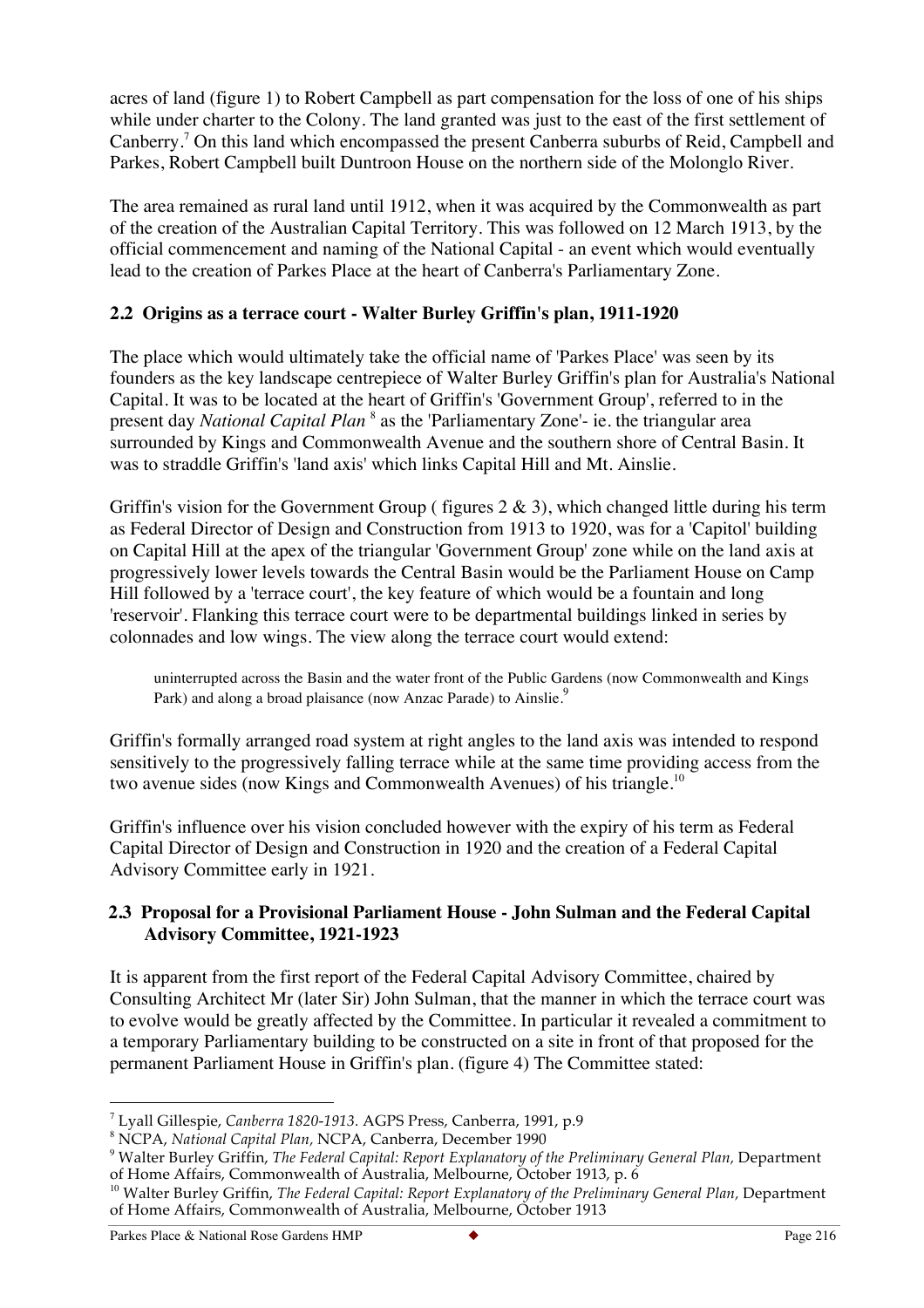acres of land (figure 1) to Robert Campbell as part compensation for the loss of one of his ships while under charter to the Colony. The land granted was just to the east of the first settlement of Canberry.<sup>7</sup> On this land which encompassed the present Canberra suburbs of Reid, Campbell and Parkes, Robert Campbell built Duntroon House on the northern side of the Molonglo River.

The area remained as rural land until 1912, when it was acquired by the Commonwealth as part of the creation of the Australian Capital Territory. This was followed on 12 March 1913, by the official commencement and naming of the National Capital - an event which would eventually lead to the creation of Parkes Place at the heart of Canberra's Parliamentary Zone.

# **2.2 Origins as a terrace court - Walter Burley Griffin's plan, 1911-1920**

The place which would ultimately take the official name of 'Parkes Place' was seen by its founders as the key landscape centrepiece of Walter Burley Griffin's plan for Australia's National Capital. It was to be located at the heart of Griffin's 'Government Group', referred to in the present day *National Capital Plan* <sup>8</sup> as the 'Parliamentary Zone'- ie. the triangular area surrounded by Kings and Commonwealth Avenue and the southern shore of Central Basin. It was to straddle Griffin's 'land axis' which links Capital Hill and Mt. Ainslie.

Griffin's vision for the Government Group (figures  $2 \& 3$ ), which changed little during his term as Federal Director of Design and Construction from 1913 to 1920, was for a 'Capitol' building on Capital Hill at the apex of the triangular 'Government Group' zone while on the land axis at progressively lower levels towards the Central Basin would be the Parliament House on Camp Hill followed by a 'terrace court', the key feature of which would be a fountain and long 'reservoir'. Flanking this terrace court were to be departmental buildings linked in series by colonnades and low wings. The view along the terrace court would extend:

uninterrupted across the Basin and the water front of the Public Gardens (now Commonwealth and Kings Park) and along a broad plaisance (now Anzac Parade) to Ainslie.<sup>9</sup>

Griffin's formally arranged road system at right angles to the land axis was intended to respond sensitively to the progressively falling terrace while at the same time providing access from the two avenue sides (now Kings and Commonwealth Avenues) of his triangle.<sup>10</sup>

Griffin's influence over his vision concluded however with the expiry of his term as Federal Capital Director of Design and Construction in 1920 and the creation of a Federal Capital Advisory Committee early in 1921.

# **2.3 Proposal for a Provisional Parliament House - John Sulman and the Federal Capital Advisory Committee, 1921-1923**

It is apparent from the first report of the Federal Capital Advisory Committee, chaired by Consulting Architect Mr (later Sir) John Sulman, that the manner in which the terrace court was to evolve would be greatly affected by the Committee. In particular it revealed a commitment to a temporary Parliamentary building to be constructed on a site in front of that proposed for the permanent Parliament House in Griffin's plan. (figure 4) The Committee stated:

 <sup>7</sup> Lyall Gillespie, *Canberra 1820-1913.* AGPS Press, Canberra, 1991, p.9

<sup>8</sup> NCPA, *National Capital Plan,* NCPA, Canberra, December 1990

<sup>9</sup> Walter Burley Griffin, *The Federal Capital: Report Explanatory of the Preliminary General Plan,* Department of Home Affairs, Commonwealth of Australia, Melbourne, October 1913, p. 6

<sup>10</sup> Walter Burley Griffin, *The Federal Capital: Report Explanatory of the Preliminary General Plan,* Department of Home Affairs, Commonwealth of Australia, Melbourne, October 1913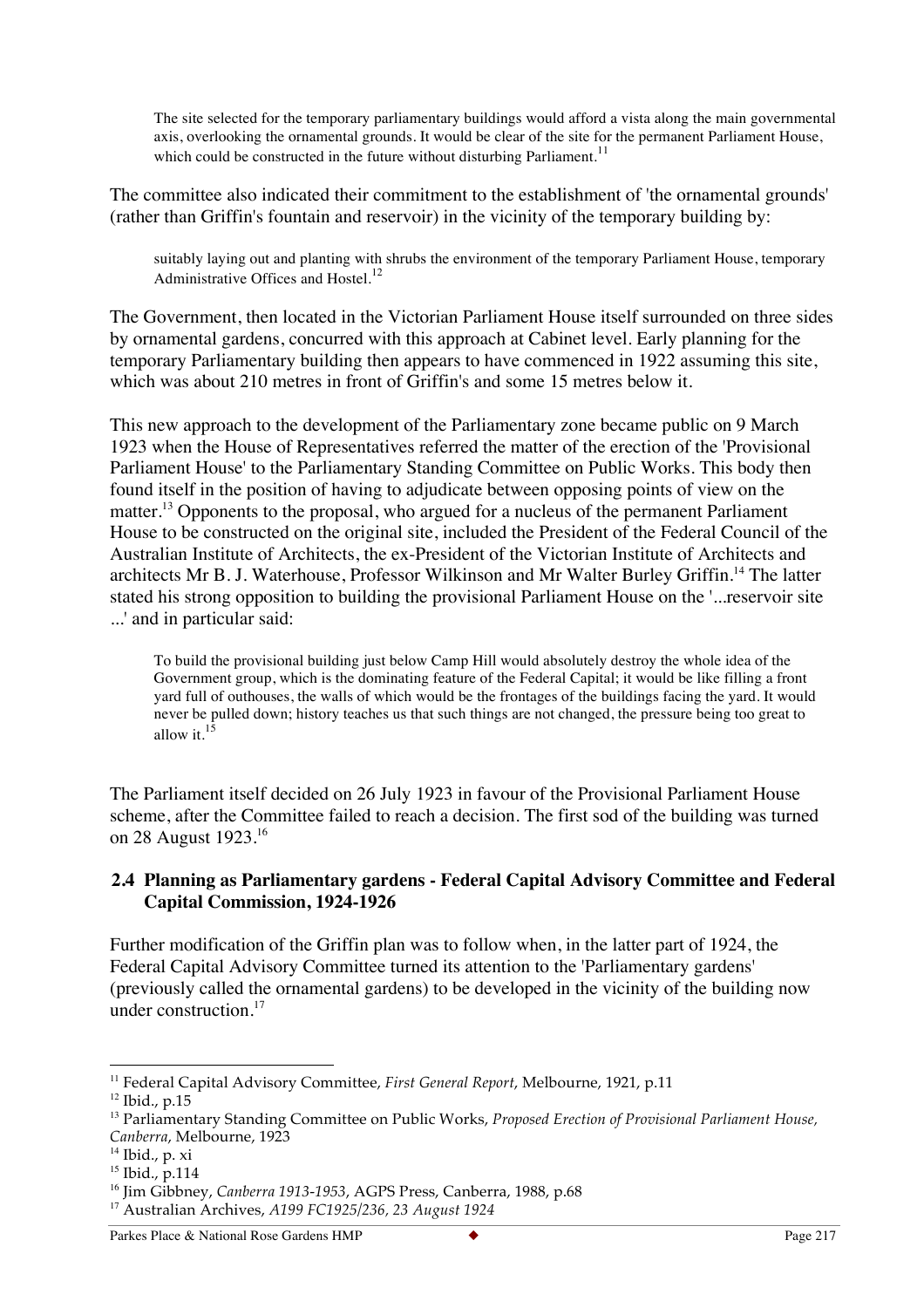The site selected for the temporary parliamentary buildings would afford a vista along the main governmental axis, overlooking the ornamental grounds. It would be clear of the site for the permanent Parliament House, which could be constructed in the future without disturbing Parliament.<sup>11</sup>

The committee also indicated their commitment to the establishment of 'the ornamental grounds' (rather than Griffin's fountain and reservoir) in the vicinity of the temporary building by:

suitably laying out and planting with shrubs the environment of the temporary Parliament House, temporary Administrative Offices and Hostel.<sup>12</sup>

The Government, then located in the Victorian Parliament House itself surrounded on three sides by ornamental gardens, concurred with this approach at Cabinet level. Early planning for the temporary Parliamentary building then appears to have commenced in 1922 assuming this site, which was about 210 metres in front of Griffin's and some 15 metres below it.

This new approach to the development of the Parliamentary zone became public on 9 March 1923 when the House of Representatives referred the matter of the erection of the 'Provisional Parliament House' to the Parliamentary Standing Committee on Public Works. This body then found itself in the position of having to adjudicate between opposing points of view on the matter.<sup>13</sup> Opponents to the proposal, who argued for a nucleus of the permanent Parliament House to be constructed on the original site, included the President of the Federal Council of the Australian Institute of Architects, the ex-President of the Victorian Institute of Architects and architects Mr B. J. Waterhouse, Professor Wilkinson and Mr Walter Burley Griffin.<sup>14</sup> The latter stated his strong opposition to building the provisional Parliament House on the '...reservoir site ...' and in particular said:

To build the provisional building just below Camp Hill would absolutely destroy the whole idea of the Government group, which is the dominating feature of the Federal Capital; it would be like filling a front yard full of outhouses, the walls of which would be the frontages of the buildings facing the yard. It would never be pulled down; history teaches us that such things are not changed, the pressure being too great to allow it.<sup>15</sup>

The Parliament itself decided on 26 July 1923 in favour of the Provisional Parliament House scheme, after the Committee failed to reach a decision. The first sod of the building was turned on 28 August 1923.<sup>16</sup>

#### **2.4 Planning as Parliamentary gardens - Federal Capital Advisory Committee and Federal Capital Commission, 1924-1926**

Further modification of the Griffin plan was to follow when, in the latter part of 1924, the Federal Capital Advisory Committee turned its attention to the 'Parliamentary gardens' (previously called the ornamental gardens) to be developed in the vicinity of the building now under construction.<sup>17</sup>

 <sup>11</sup> Federal Capital Advisory Committee, *First General Report*, Melbourne, 1921, p.11

<sup>12</sup> Ibid., p.15

<sup>13</sup> Parliamentary Standing Committee on Public Works, *Proposed Erection of Provisional Parliament House, Canberra*, Melbourne, 1923

<sup>14</sup> Ibid., p. xi

<sup>&</sup>lt;sup>15</sup> Ibid., p.114

<sup>16</sup> Jim Gibbney, *Canberra 1913-1953*, AGPS Press, Canberra, 1988, p.68

<sup>17</sup> Australian Archives, *A199 FC1925/236, 23 August 1924*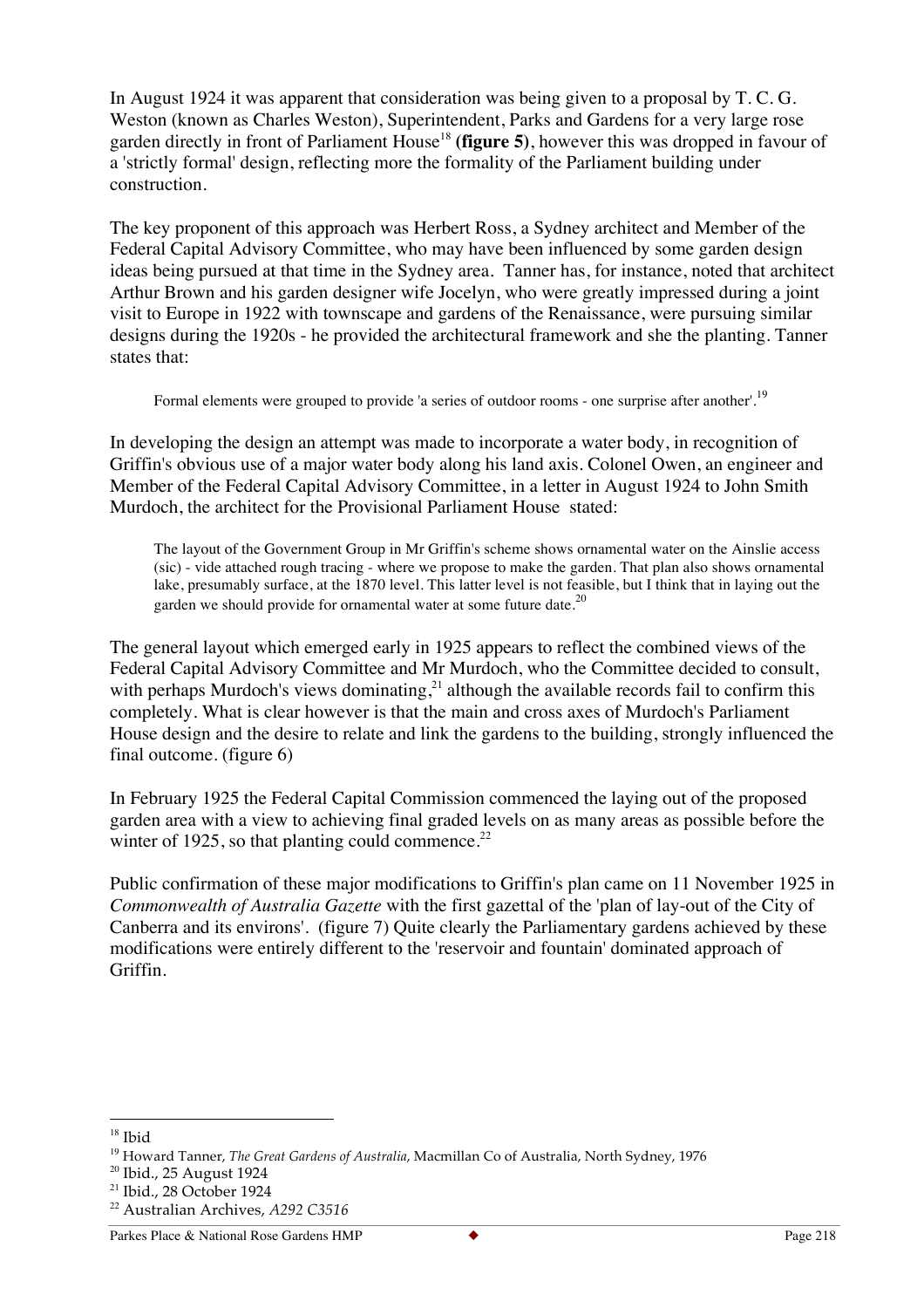In August 1924 it was apparent that consideration was being given to a proposal by T. C. G. Weston (known as Charles Weston), Superintendent, Parks and Gardens for a very large rose garden directly in front of Parliament House<sup>18</sup> (figure 5), however this was dropped in favour of a 'strictly formal' design, reflecting more the formality of the Parliament building under construction.

The key proponent of this approach was Herbert Ross, a Sydney architect and Member of the Federal Capital Advisory Committee, who may have been influenced by some garden design ideas being pursued at that time in the Sydney area. Tanner has, for instance, noted that architect Arthur Brown and his garden designer wife Jocelyn, who were greatly impressed during a joint visit to Europe in 1922 with townscape and gardens of the Renaissance, were pursuing similar designs during the 1920s - he provided the architectural framework and she the planting. Tanner states that:

Formal elements were grouped to provide 'a series of outdoor rooms - one surprise after another'.<sup>19</sup>

In developing the design an attempt was made to incorporate a water body, in recognition of Griffin's obvious use of a major water body along his land axis. Colonel Owen, an engineer and Member of the Federal Capital Advisory Committee, in a letter in August 1924 to John Smith Murdoch, the architect for the Provisional Parliament House stated:

The layout of the Government Group in Mr Griffin's scheme shows ornamental water on the Ainslie access (sic) - vide attached rough tracing - where we propose to make the garden. That plan also shows ornamental lake, presumably surface, at the 1870 level. This latter level is not feasible, but I think that in laying out the garden we should provide for ornamental water at some future date.<sup>20</sup>

The general layout which emerged early in 1925 appears to reflect the combined views of the Federal Capital Advisory Committee and Mr Murdoch, who the Committee decided to consult, with perhaps Murdoch's views dominating,<sup>21</sup> although the available records fail to confirm this completely. What is clear however is that the main and cross axes of Murdoch's Parliament House design and the desire to relate and link the gardens to the building, strongly influenced the final outcome. (figure 6)

In February 1925 the Federal Capital Commission commenced the laying out of the proposed garden area with a view to achieving final graded levels on as many areas as possible before the winter of 1925, so that planting could commence.<sup>22</sup>

Public confirmation of these major modifications to Griffin's plan came on 11 November 1925 in *Commonwealth of Australia Gazette* with the first gazettal of the 'plan of lay-out of the City of Canberra and its environs'. (figure 7) Quite clearly the Parliamentary gardens achieved by these modifications were entirely different to the 'reservoir and fountain' dominated approach of Griffin.

<sup>&</sup>lt;sup>18</sup> Ibid

<sup>&</sup>lt;sup>19</sup> Howard Tanner, *The Great Gardens of Australia*, Macmillan Co of Australia, North Sydney, 1976

<sup>20</sup> Ibid., 25 August 1924

<sup>21</sup> Ibid., 28 October 1924

<sup>22</sup> Australian Archives, *A292 C3516*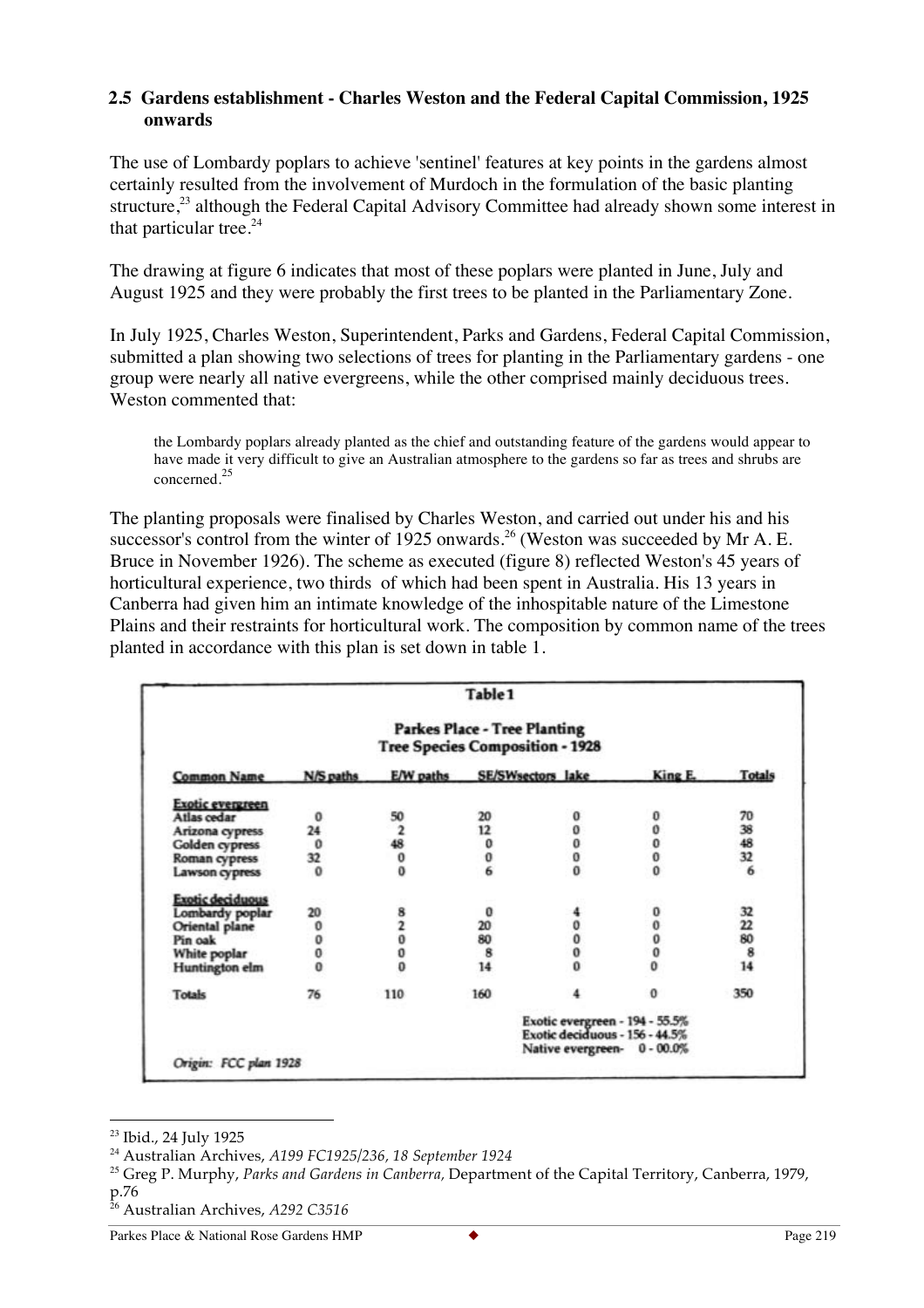#### **2.5 Gardens establishment - Charles Weston and the Federal Capital Commission, 1925 onwards**

The use of Lombardy poplars to achieve 'sentinel' features at key points in the gardens almost certainly resulted from the involvement of Murdoch in the formulation of the basic planting structure,<sup>23</sup> although the Federal Capital Advisory Committee had already shown some interest in that particular tree. $24$ 

The drawing at figure 6 indicates that most of these poplars were planted in June, July and August 1925 and they were probably the first trees to be planted in the Parliamentary Zone.

In July 1925, Charles Weston, Superintendent, Parks and Gardens, Federal Capital Commission, submitted a plan showing two selections of trees for planting in the Parliamentary gardens - one group were nearly all native evergreens, while the other comprised mainly deciduous trees. Weston commented that:

the Lombardy poplars already planted as the chief and outstanding feature of the gardens would appear to have made it very difficult to give an Australian atmosphere to the gardens so far as trees and shrubs are concerned.<sup>25</sup>

The planting proposals were finalised by Charles Weston, and carried out under his and his successor's control from the winter of 1925 onwards.<sup>26</sup> (Weston was succeeded by Mr A. E. Bruce in November 1926). The scheme as executed (figure 8) reflected Weston's 45 years of horticultural experience, two thirds of which had been spent in Australia. His 13 years in Canberra had given him an intimate knowledge of the inhospitable nature of the Limestone Plains and their restraints for horticultural work. The composition by common name of the trees planted in accordance with this plan is set down in table 1.

|                         |                                                                               |                | Table 1           |                                                                  |                     |               |
|-------------------------|-------------------------------------------------------------------------------|----------------|-------------------|------------------------------------------------------------------|---------------------|---------------|
|                         | <b>Parkes Place - Tree Planting</b><br><b>Tree Species Composition - 1928</b> |                |                   |                                                                  |                     |               |
| <b>Common Name</b>      | N/S paths                                                                     | E/W paths      | SE/SWsectors lake |                                                                  | King E.             | <b>Totals</b> |
| <b>Exotic evergreen</b> |                                                                               |                |                   |                                                                  |                     |               |
| Atlas cedar             | $\mathbf 0$                                                                   | 50             | 20                |                                                                  |                     | 70            |
| Arizona cypress         | 24                                                                            | $\overline{2}$ | 12                | 0                                                                |                     | 38            |
| <b>Golden</b> cypress   | $\mathbf{0}$                                                                  | 48             | 0                 | o                                                                |                     |               |
| Roman cypress           | 32                                                                            | 0              | 0                 | 0                                                                | 00000               | 48<br>32      |
| Lawson cypress          | $\Omega$                                                                      | ō              | 6                 | ō                                                                |                     | 6             |
| <b>Exotic deciduous</b> |                                                                               |                |                   |                                                                  |                     |               |
| Lombardy poplar         | 20                                                                            | 8              | 0                 |                                                                  | 0                   | 32            |
| Oriental plane          |                                                                               |                | 20                |                                                                  |                     | 22            |
| Pin oak                 | 00000                                                                         | Ö              | 80                | Ô                                                                | 0                   | 80            |
| White poplar            |                                                                               | o              | 8                 | 0                                                                | 0                   | 8             |
| <b>Huntington</b> elm   |                                                                               | ō              | 14                |                                                                  | $\ddot{\mathbf{0}}$ | 14            |
| <b>Totals</b>           | 76                                                                            | 110            | 160               |                                                                  | o                   | 350           |
|                         |                                                                               |                |                   | Exotic evergreen - 194 - 55.5%<br>Exotic deciduous - 156 - 44.5% |                     |               |
| Origin: FCC plan 1928   |                                                                               |                |                   | Native evergreen-                                                | $0 - 00.0\%$        |               |

<sup>&</sup>lt;sup>23</sup> Ibid., 24 July 1925

<sup>26</sup> Australian Archives, *A292 C3516*

<sup>24</sup> Australian Archives, *A199 FC1925/236, 18 September 1924*

<sup>25</sup> Greg P. Murphy, *Parks and Gardens in Canberra,* Department of the Capital Territory, Canberra, 1979, p.76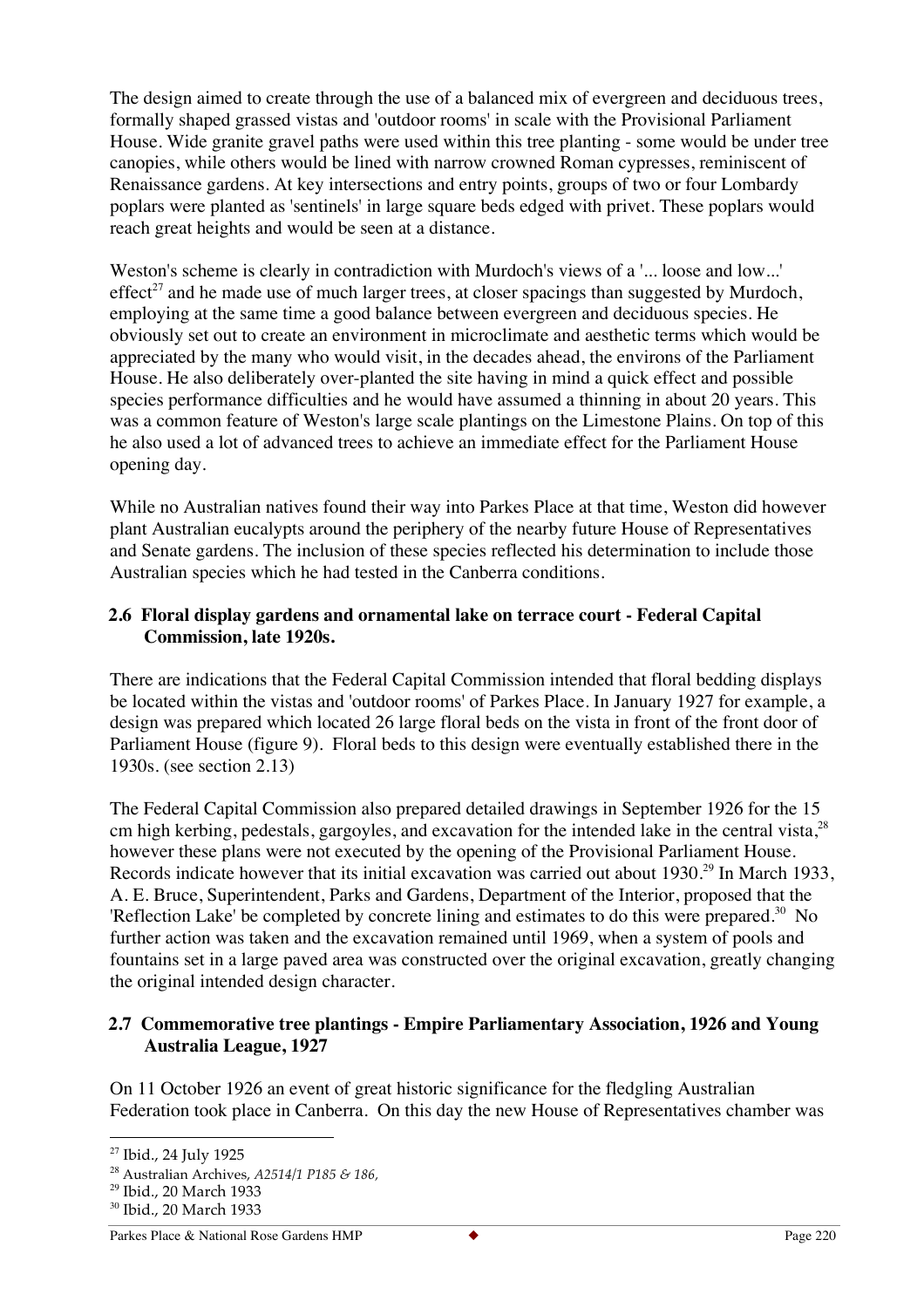The design aimed to create through the use of a balanced mix of evergreen and deciduous trees, formally shaped grassed vistas and 'outdoor rooms' in scale with the Provisional Parliament House. Wide granite gravel paths were used within this tree planting - some would be under tree canopies, while others would be lined with narrow crowned Roman cypresses, reminiscent of Renaissance gardens. At key intersections and entry points, groups of two or four Lombardy poplars were planted as 'sentinels' in large square beds edged with privet. These poplars would reach great heights and would be seen at a distance.

Weston's scheme is clearly in contradiction with Murdoch's views of a '... loose and low...' effect<sup>27</sup> and he made use of much larger trees, at closer spacings than suggested by Murdoch, employing at the same time a good balance between evergreen and deciduous species. He obviously set out to create an environment in microclimate and aesthetic terms which would be appreciated by the many who would visit, in the decades ahead, the environs of the Parliament House. He also deliberately over-planted the site having in mind a quick effect and possible species performance difficulties and he would have assumed a thinning in about 20 years. This was a common feature of Weston's large scale plantings on the Limestone Plains. On top of this he also used a lot of advanced trees to achieve an immediate effect for the Parliament House opening day.

While no Australian natives found their way into Parkes Place at that time, Weston did however plant Australian eucalypts around the periphery of the nearby future House of Representatives and Senate gardens. The inclusion of these species reflected his determination to include those Australian species which he had tested in the Canberra conditions.

# **2.6 Floral display gardens and ornamental lake on terrace court - Federal Capital Commission, late 1920s.**

There are indications that the Federal Capital Commission intended that floral bedding displays be located within the vistas and 'outdoor rooms' of Parkes Place. In January 1927 for example, a design was prepared which located 26 large floral beds on the vista in front of the front door of Parliament House (figure 9). Floral beds to this design were eventually established there in the 1930s. (see section 2.13)

The Federal Capital Commission also prepared detailed drawings in September 1926 for the 15 cm high kerbing, pedestals, gargoyles, and excavation for the intended lake in the central vista,<sup>28</sup> however these plans were not executed by the opening of the Provisional Parliament House. Records indicate however that its initial excavation was carried out about 1930.<sup>29</sup> In March 1933, A. E. Bruce, Superintendent, Parks and Gardens, Department of the Interior, proposed that the 'Reflection Lake' be completed by concrete lining and estimates to do this were prepared.<sup>30</sup> No further action was taken and the excavation remained until 1969, when a system of pools and fountains set in a large paved area was constructed over the original excavation, greatly changing the original intended design character.

# **2.7 Commemorative tree plantings - Empire Parliamentary Association, 1926 and Young Australia League, 1927**

On 11 October 1926 an event of great historic significance for the fledgling Australian Federation took place in Canberra. On this day the new House of Representatives chamber was

<sup>&</sup>lt;sup>27</sup> Ibid., 24 July 1925

<sup>28</sup> Australian Archives, *A2514/1 P185 & 186,* 

<sup>29</sup> Ibid., 20 March 1933

<sup>30</sup> Ibid., 20 March 1933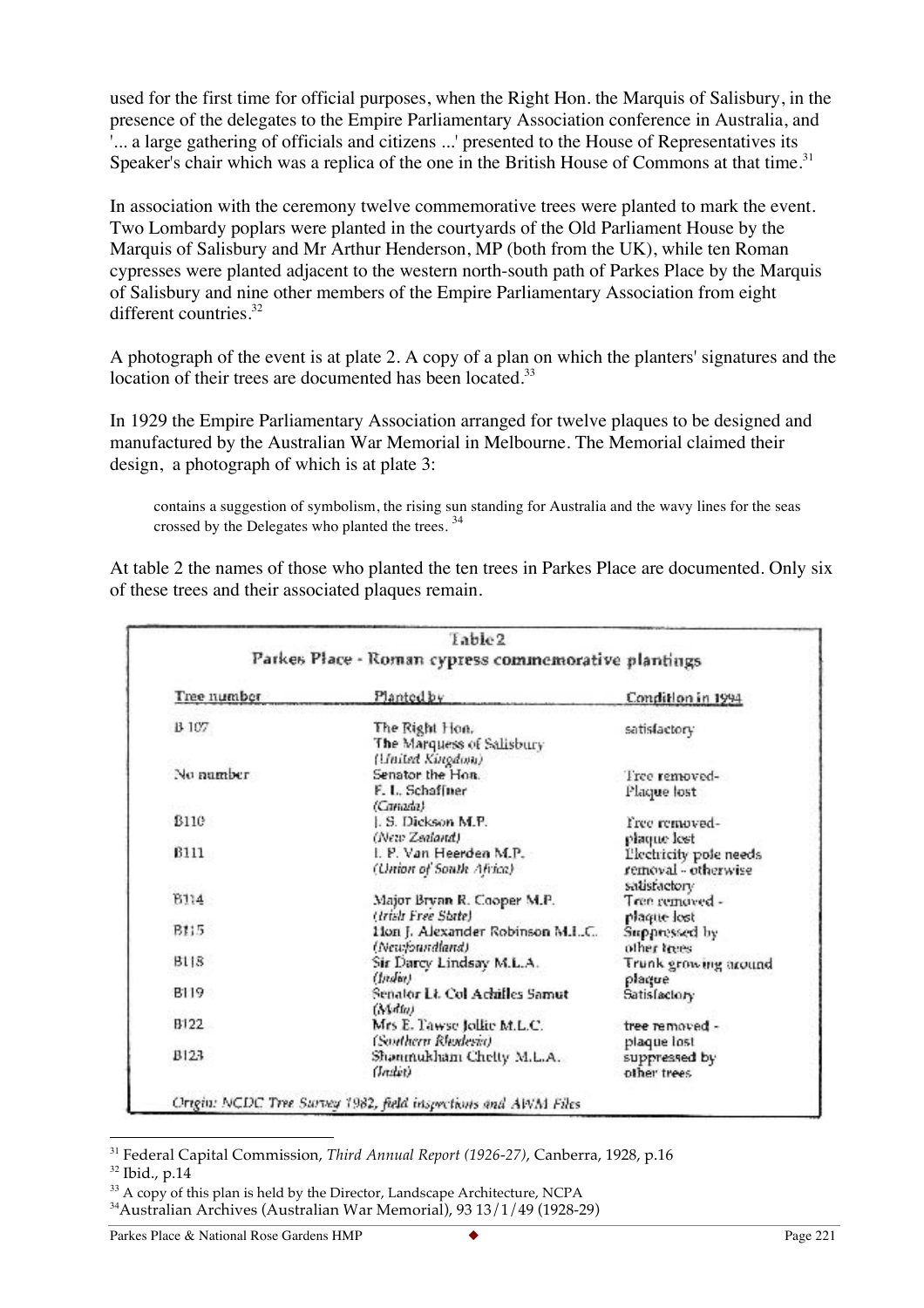used for the first time for official purposes, when the Right Hon. the Marquis of Salisbury, in the presence of the delegates to the Empire Parliamentary Association conference in Australia, and '... a large gathering of officials and citizens ...' presented to the House of Representatives its Speaker's chair which was a replica of the one in the British House of Commons at that time.<sup>31</sup>

In association with the ceremony twelve commemorative trees were planted to mark the event. Two Lombardy poplars were planted in the courtyards of the Old Parliament House by the Marquis of Salisbury and Mr Arthur Henderson, MP (both from the UK), while ten Roman cypresses were planted adjacent to the western north-south path of Parkes Place by the Marquis of Salisbury and nine other members of the Empire Parliamentary Association from eight different countries. $32$ 

A photograph of the event is at plate 2. A copy of a plan on which the planters' signatures and the location of their trees are documented has been located.<sup>33</sup>

In 1929 the Empire Parliamentary Association arranged for twelve plaques to be designed and manufactured by the Australian War Memorial in Melbourne. The Memorial claimed their design, a photograph of which is at plate 3:

contains a suggestion of symbolism, the rising sun standing for Australia and the wavy lines for the seas crossed by the Delegates who planted the trees.  $34$ 

At table 2 the names of those who planted the ten trees in Parkes Place are documented. Only six of these trees and their associated plaques remain.

| Parkes Place - Roman cypress commemorative plantings           |                                                                                 |  |
|----------------------------------------------------------------|---------------------------------------------------------------------------------|--|
|                                                                |                                                                                 |  |
| Plantedby                                                      | Condition in 1994                                                               |  |
| The Right Hon.<br>The Marquess of Salisbury                    | satisfactory                                                                    |  |
| Senator the Hon.<br>F. L. Schaffner<br>(Canada)                | Tree removed-<br>Plaque lost                                                    |  |
| L.S. Dickson M.P.<br>(New Zealand)                             | Free removed-<br>plaque lest                                                    |  |
| I. P. Van Heerden M.P.<br>(Union of South Africa)              | Plechricity pole needs<br>removal - otherwise<br>satisfactory                   |  |
| Major Bryan R. Cooper M.P.<br>(Irish Free State)               | Tree removed -<br>plaque lost                                                   |  |
| Hon J. Alexander Robinson M.IC.                                | Suppressed by<br>other trees                                                    |  |
| Sir Darcy Lindsay M.L.A.                                       | Trunk growing around<br>plaque                                                  |  |
| Senator Lt. Col Achilles Samut                                 | Satisfactory                                                                    |  |
| Mrs E. Tawse Jollie M.L.C.                                     | tree removed -<br>plaque lost                                                   |  |
| Shanmukham Chetty M.L.A.<br>Grain                              | suppressed by<br>other trees                                                    |  |
| Origin: NCDC Tree Survey 1982, field inspections and AWM Files | (United Kingdom)<br>(Newfoundland)<br>(Indee)<br>(Malta)<br>(Southern Rhodesia) |  |

 <sup>31</sup> Federal Capital Commission, *Third Annual Report (1926-27)*, Canberra, 1928, p.16

<sup>32</sup> Ibid., p.14

 $33$  A copy of this plan is held by the Director, Landscape Architecture, NCPA

<sup>34</sup>Australian Archives (Australian War Memorial), 93 13/1/49 (1928-29)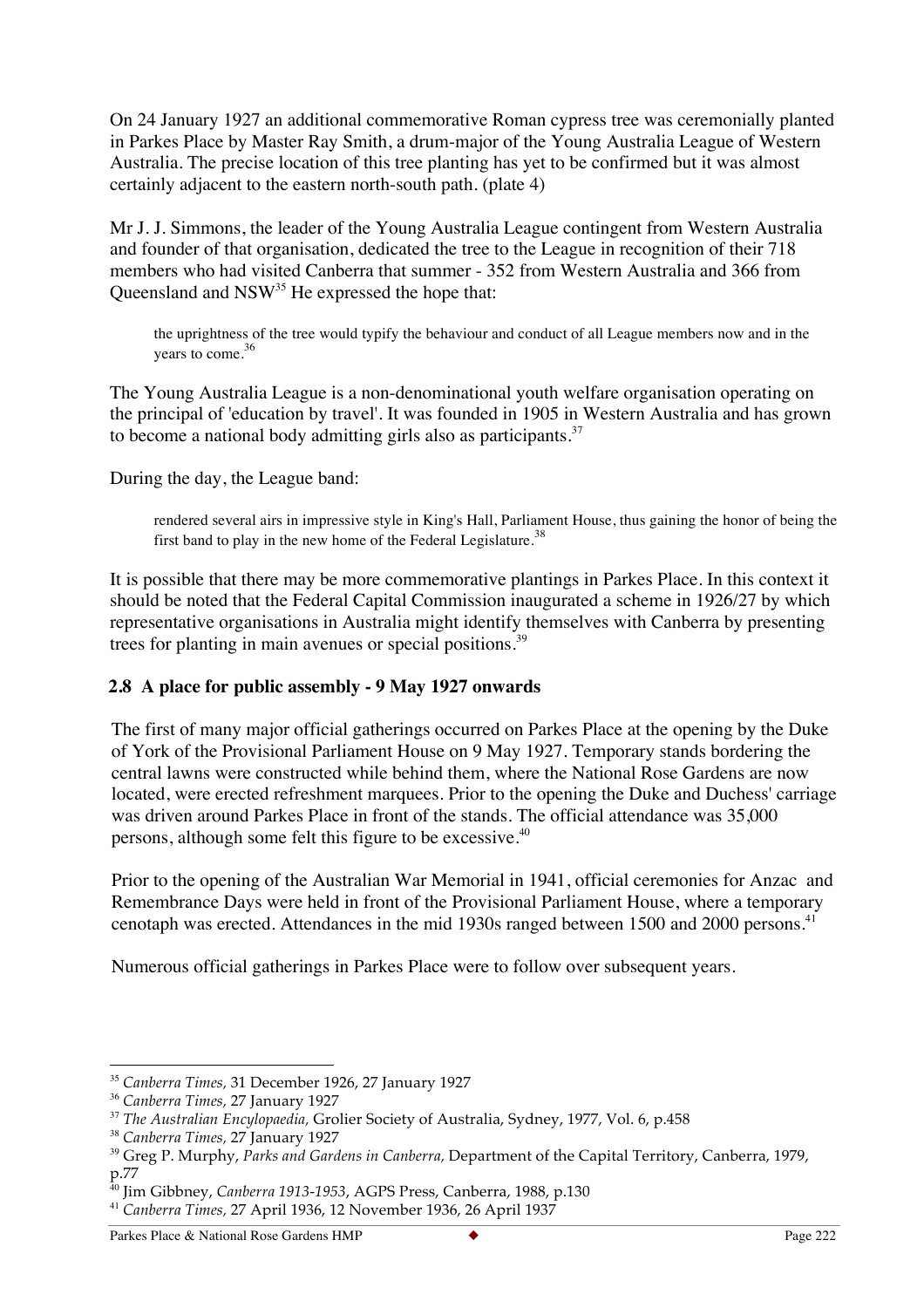On 24 January 1927 an additional commemorative Roman cypress tree was ceremonially planted in Parkes Place by Master Ray Smith, a drum-major of the Young Australia League of Western Australia. The precise location of this tree planting has yet to be confirmed but it was almost certainly adjacent to the eastern north-south path. (plate 4)

Mr J. J. Simmons, the leader of the Young Australia League contingent from Western Australia and founder of that organisation, dedicated the tree to the League in recognition of their 718 members who had visited Canberra that summer - 352 from Western Australia and 366 from Queensland and  $\text{NSW}^{35}$  He expressed the hope that:

the uprightness of the tree would typify the behaviour and conduct of all League members now and in the years to come.<sup>36</sup>

The Young Australia League is a non-denominational youth welfare organisation operating on the principal of 'education by travel'. It was founded in 1905 in Western Australia and has grown to become a national body admitting girls also as participants.<sup>37</sup>

During the day, the League band:

rendered several airs in impressive style in King's Hall, Parliament House, thus gaining the honor of being the first band to play in the new home of the Federal Legislature.<sup>38</sup>

It is possible that there may be more commemorative plantings in Parkes Place. In this context it should be noted that the Federal Capital Commission inaugurated a scheme in 1926/27 by which representative organisations in Australia might identify themselves with Canberra by presenting trees for planting in main avenues or special positions.<sup>39</sup>

#### **2.8 A place for public assembly - 9 May 1927 onwards**

The first of many major official gatherings occurred on Parkes Place at the opening by the Duke of York of the Provisional Parliament House on 9 May 1927. Temporary stands bordering the central lawns were constructed while behind them, where the National Rose Gardens are now located, were erected refreshment marquees. Prior to the opening the Duke and Duchess' carriage was driven around Parkes Place in front of the stands. The official attendance was 35,000 persons, although some felt this figure to be excessive.40

Prior to the opening of the Australian War Memorial in 1941, official ceremonies for Anzac and Remembrance Days were held in front of the Provisional Parliament House, where a temporary cenotaph was erected. Attendances in the mid 1930s ranged between 1500 and 2000 persons.<sup>41</sup>

Numerous official gatherings in Parkes Place were to follow over subsequent years.

 <sup>35</sup> *Canberra Times,* 31 December 1926, 27 January 1927

<sup>36</sup> *Canberra Times,* 27 January 1927

<sup>37</sup> *The Australian Encylopaedia,* Grolier Society of Australia, Sydney, 1977, Vol. 6, p.458

<sup>38</sup> *Canberra Times,* 27 January 1927

<sup>39</sup> Greg P. Murphy, *Parks and Gardens in Canberra,* Department of the Capital Territory, Canberra, 1979,  $p.77$ <sub>40</sub> $r$ .

<sup>40</sup> Jim Gibbney, *Canberra 1913-1953*, AGPS Press, Canberra, 1988, p.130

<sup>41</sup> *Canberra Times,* 27 April 1936, 12 November 1936, 26 April 1937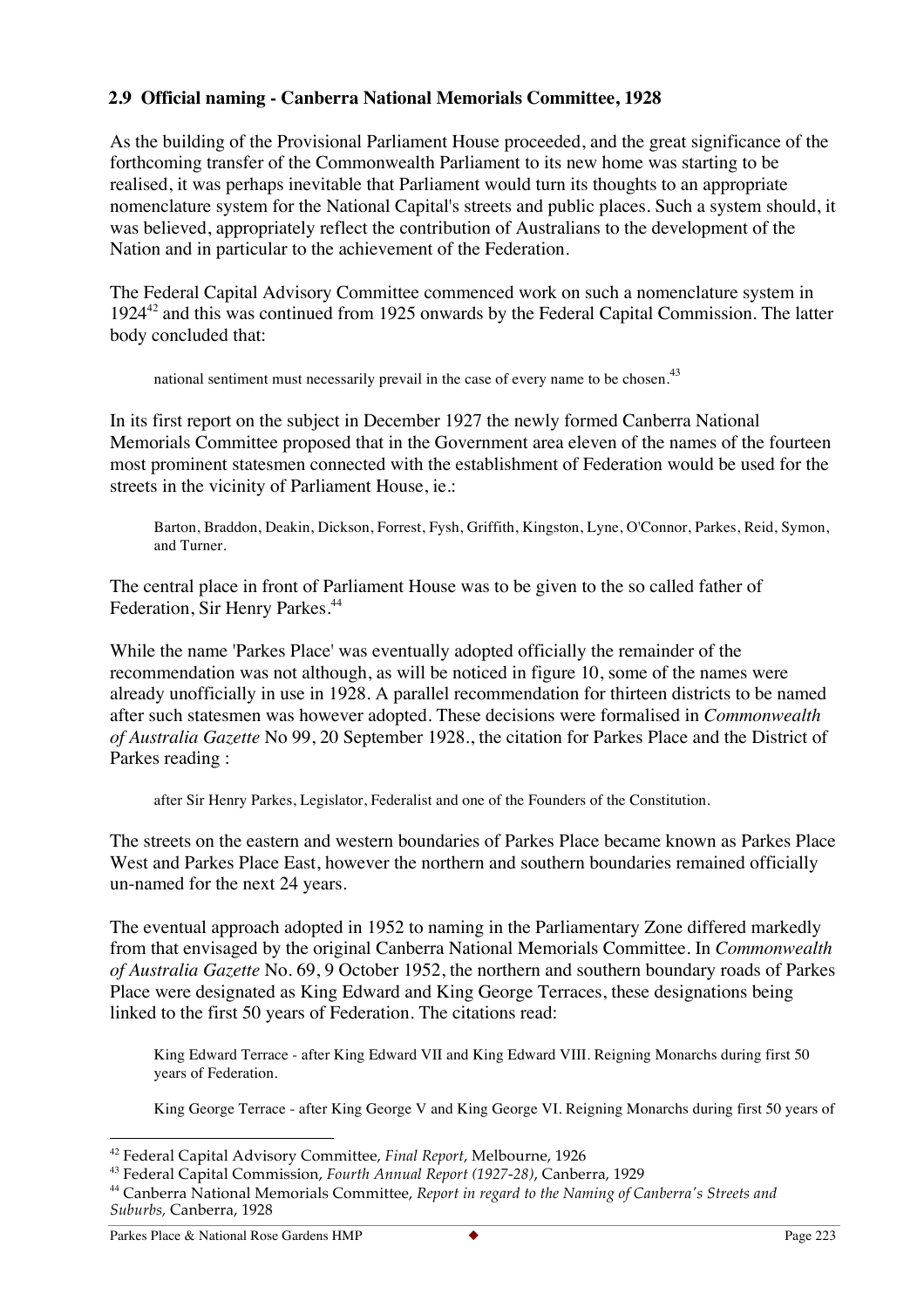# **2.9 Official naming - Canberra National Memorials Committee, 1928**

As the building of the Provisional Parliament House proceeded, and the great significance of the forthcoming transfer of the Commonwealth Parliament to its new home was starting to be realised, it was perhaps inevitable that Parliament would turn its thoughts to an appropriate nomenclature system for the National Capital's streets and public places. Such a system should, it was believed, appropriately reflect the contribution of Australians to the development of the Nation and in particular to the achievement of the Federation.

The Federal Capital Advisory Committee commenced work on such a nomenclature system in 1924<sup>42</sup> and this was continued from 1925 onwards by the Federal Capital Commission. The latter body concluded that:

national sentiment must necessarily prevail in the case of every name to be chosen.<sup>43</sup>

In its first report on the subject in December 1927 the newly formed Canberra National Memorials Committee proposed that in the Government area eleven of the names of the fourteen most prominent statesmen connected with the establishment of Federation would be used for the streets in the vicinity of Parliament House, ie.:

Barton, Braddon, Deakin, Dickson, Forrest, Fysh, Griffith, Kingston, Lyne, O'Connor, Parkes, Reid, Symon, and Turner.

The central place in front of Parliament House was to be given to the so called father of Federation, Sir Henry Parkes.<sup>44</sup>

While the name 'Parkes Place' was eventually adopted officially the remainder of the recommendation was not although, as will be noticed in figure 10, some of the names were already unofficially in use in 1928. A parallel recommendation for thirteen districts to be named after such statesmen was however adopted. These decisions were formalised in *Commonwealth of Australia Gazette* No 99, 20 September 1928., the citation for Parkes Place and the District of Parkes reading :

after Sir Henry Parkes, Legislator, Federalist and one of the Founders of the Constitution.

The streets on the eastern and western boundaries of Parkes Place became known as Parkes Place West and Parkes Place East, however the northern and southern boundaries remained officially un-named for the next 24 years.

The eventual approach adopted in 1952 to naming in the Parliamentary Zone differed markedly from that envisaged by the original Canberra National Memorials Committee. In *Commonwealth of Australia Gazette* No. 69, 9 October 1952, the northern and southern boundary roads of Parkes Place were designated as King Edward and King George Terraces, these designations being linked to the first 50 years of Federation. The citations read:

King Edward Terrace - after King Edward VII and King Edward VIII. Reigning Monarchs during first 50 years of Federation.

King George Terrace - after King George V and King George VI. Reigning Monarchs during first 50 years of

 <sup>42</sup> Federal Capital Advisory Committee, *Final Report*, Melbourne, 1926

<sup>43</sup> Federal Capital Commission, *Fourth Annual Report (1927-28)*, Canberra, 1929

<sup>44</sup> Canberra National Memorials Committee, *Report in regard to the Naming of Canberra's Streets and Suburbs,* Canberra, 1928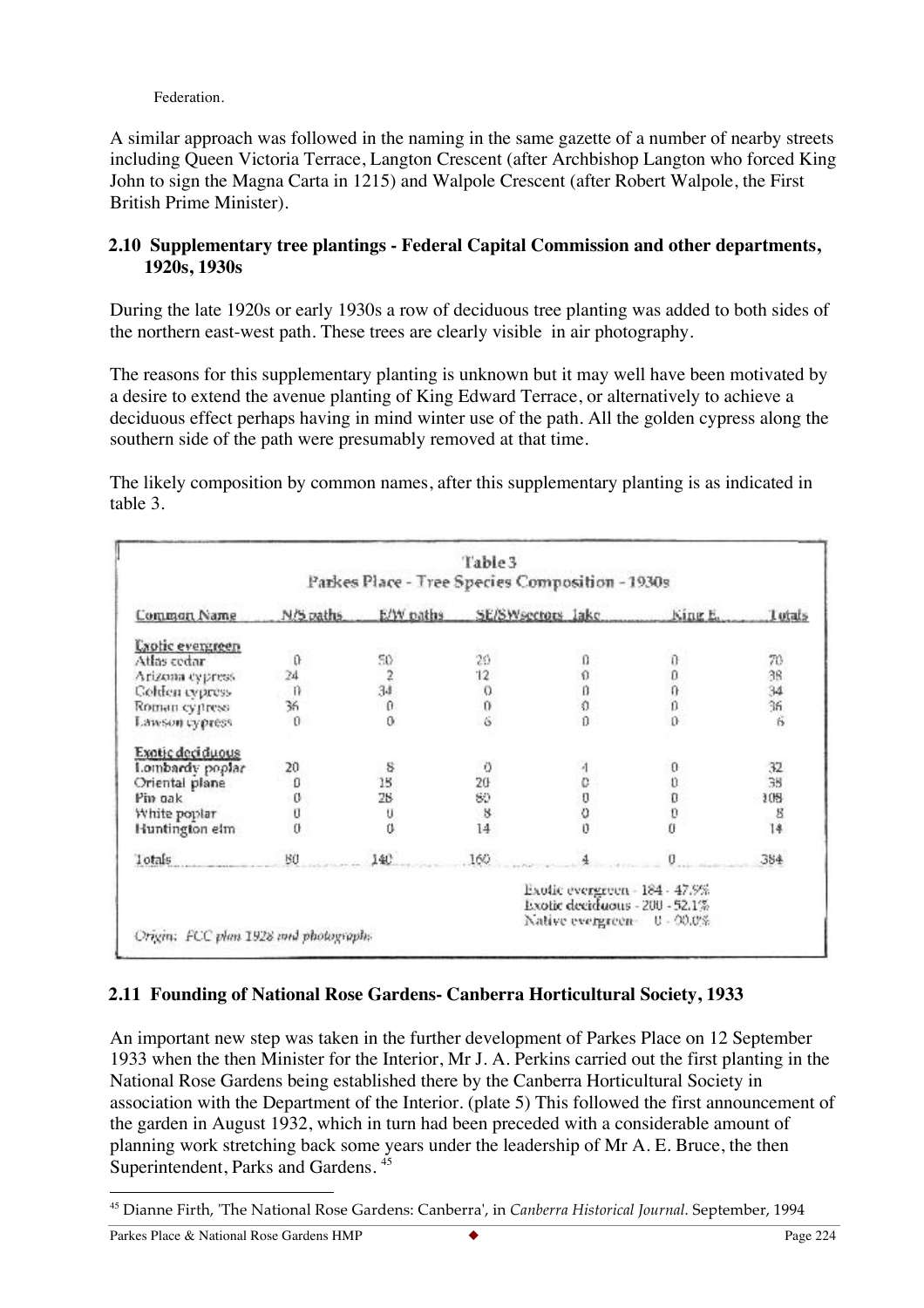Federation.

A similar approach was followed in the naming in the same gazette of a number of nearby streets including Queen Victoria Terrace, Langton Crescent (after Archbishop Langton who forced King John to sign the Magna Carta in 1215) and Walpole Crescent (after Robert Walpole, the First British Prime Minister).

### **2.10 Supplementary tree plantings - Federal Capital Commission and other departments, 1920s, 1930s**

During the late 1920s or early 1930s a row of deciduous tree planting was added to both sides of the northern east-west path. These trees are clearly visible in air photography.

The reasons for this supplementary planting is unknown but it may well have been motivated by a desire to extend the avenue planting of King Edward Terrace, or alternatively to achieve a deciduous effect perhaps having in mind winter use of the path. All the golden cypress along the southern side of the path were presumably removed at that time.

The likely composition by common names, after this supplementary planting is as indicated in table 3.

|                         |           |                       | Parkes Place - Tree Species Composition - 1930s |                                                                                                  |          |          |
|-------------------------|-----------|-----------------------|-------------------------------------------------|--------------------------------------------------------------------------------------------------|----------|----------|
| Common Name             | N/S paths | E/W paths             | SE/SWsectors lake                               |                                                                                                  | King E.  | Lutats   |
| <b>Unotic evergreen</b> |           |                       |                                                 |                                                                                                  |          |          |
| Atlas cedar             | û         | 50                    | 20                                              | ū                                                                                                |          | 70       |
| Arizona cypress         | 24        | $\ddot{2}$            | 12                                              | $\Omega$                                                                                         |          |          |
| Colden cypress          | n         | 34                    | $\Omega$                                        | n                                                                                                | 000      | 38<br>34 |
| Roman cypress           | 36        | $\boldsymbol{\theta}$ | 0                                               | Ò                                                                                                | ö        | 36.      |
| Lawson cypress          | $\Omega$  | $\alpha$              | 6                                               | $\Omega$                                                                                         | Ű        | 6        |
| Exotic deciduous        |           |                       |                                                 |                                                                                                  |          |          |
| Lombardy poplar         | 20        | 8                     | O                                               |                                                                                                  |          | 32       |
| Oriental plane          | ۵         | 18                    | 20                                              | ö                                                                                                |          | 38       |
| Pin gak                 | Ø         | 28                    | 80                                              |                                                                                                  | 0        | 108      |
| White poplar            | Ü         | U                     | 8                                               | 000                                                                                              | Ü        | 8        |
| Huntington elm          | Ü         | Ü                     | 14                                              |                                                                                                  | $\theta$ | 14       |
| Totals                  | BO        | 140                   | 160                                             |                                                                                                  |          | 384      |
|                         |           |                       |                                                 | Exotic evergreen - 184 - 47.9%<br>Exotic deciduous - 200 - 52.1%<br>Native evergreen = 0 - 00.0% |          |          |

#### **2.11 Founding of National Rose Gardens- Canberra Horticultural Society, 1933**

An important new step was taken in the further development of Parkes Place on 12 September 1933 when the then Minister for the Interior, Mr J. A. Perkins carried out the first planting in the National Rose Gardens being established there by the Canberra Horticultural Society in association with the Department of the Interior. (plate 5) This followed the first announcement of the garden in August 1932, which in turn had been preceded with a considerable amount of planning work stretching back some years under the leadership of Mr A. E. Bruce, the then Superintendent, Parks and Gardens. <sup>45</sup>

 <sup>45</sup> Dianne Firth, 'The National Rose Gardens: Canberra', in *Canberra Historical Journal.* September, 1994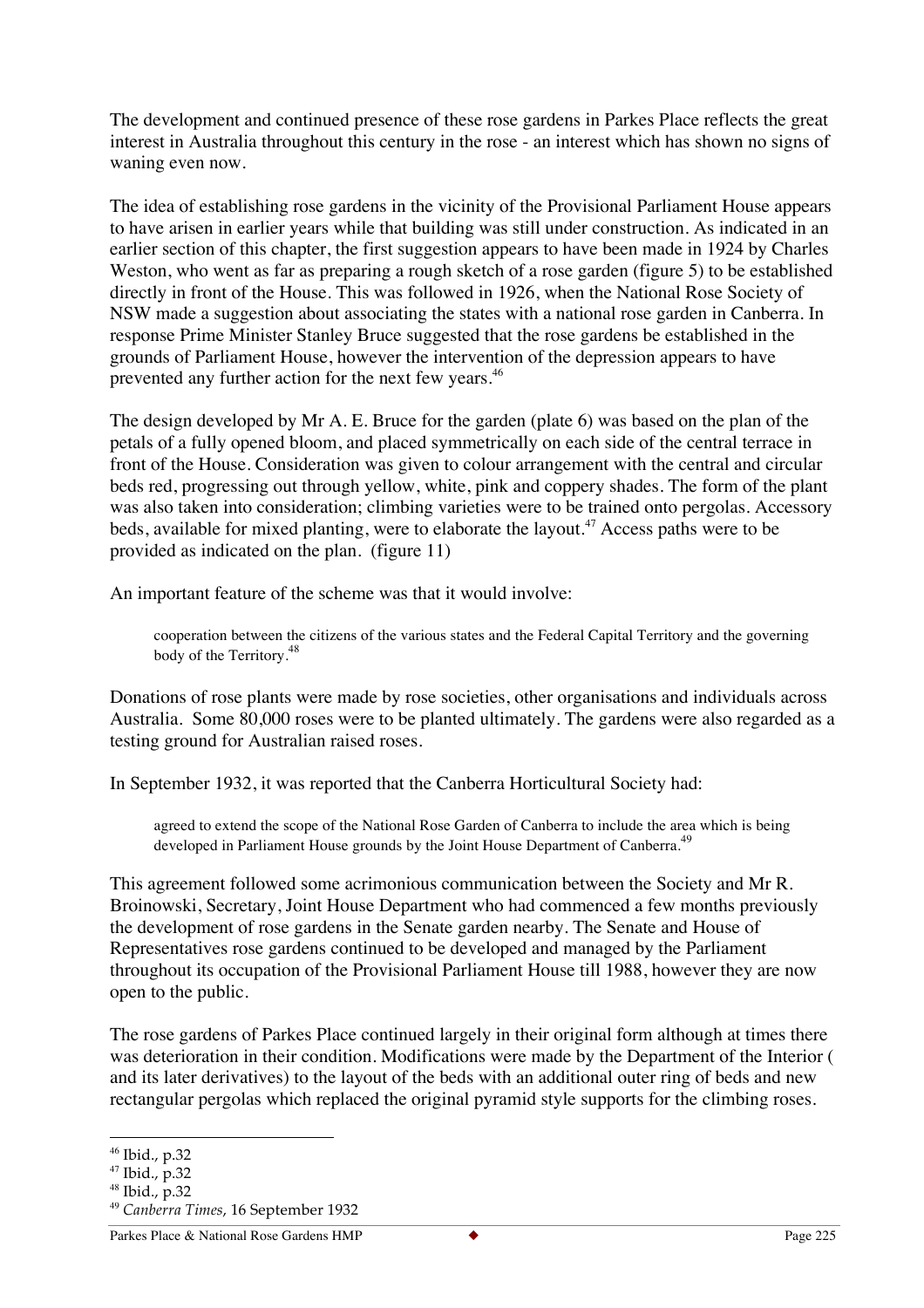The development and continued presence of these rose gardens in Parkes Place reflects the great interest in Australia throughout this century in the rose - an interest which has shown no signs of waning even now.

The idea of establishing rose gardens in the vicinity of the Provisional Parliament House appears to have arisen in earlier years while that building was still under construction. As indicated in an earlier section of this chapter, the first suggestion appears to have been made in 1924 by Charles Weston, who went as far as preparing a rough sketch of a rose garden (figure 5) to be established directly in front of the House. This was followed in 1926, when the National Rose Society of NSW made a suggestion about associating the states with a national rose garden in Canberra. In response Prime Minister Stanley Bruce suggested that the rose gardens be established in the grounds of Parliament House, however the intervention of the depression appears to have prevented any further action for the next few years.<sup>46</sup>

The design developed by Mr A. E. Bruce for the garden (plate 6) was based on the plan of the petals of a fully opened bloom, and placed symmetrically on each side of the central terrace in front of the House. Consideration was given to colour arrangement with the central and circular beds red, progressing out through yellow, white, pink and coppery shades. The form of the plant was also taken into consideration; climbing varieties were to be trained onto pergolas. Accessory beds, available for mixed planting, were to elaborate the layout.<sup>47</sup> Access paths were to be provided as indicated on the plan. (figure 11)

An important feature of the scheme was that it would involve:

cooperation between the citizens of the various states and the Federal Capital Territory and the governing body of the Territory.<sup>48</sup>

Donations of rose plants were made by rose societies, other organisations and individuals across Australia. Some 80,000 roses were to be planted ultimately. The gardens were also regarded as a testing ground for Australian raised roses.

In September 1932, it was reported that the Canberra Horticultural Society had:

agreed to extend the scope of the National Rose Garden of Canberra to include the area which is being developed in Parliament House grounds by the Joint House Department of Canberra.<sup>49</sup>

This agreement followed some acrimonious communication between the Society and Mr R. Broinowski, Secretary, Joint House Department who had commenced a few months previously the development of rose gardens in the Senate garden nearby. The Senate and House of Representatives rose gardens continued to be developed and managed by the Parliament throughout its occupation of the Provisional Parliament House till 1988, however they are now open to the public.

The rose gardens of Parkes Place continued largely in their original form although at times there was deterioration in their condition. Modifications were made by the Department of the Interior ( and its later derivatives) to the layout of the beds with an additional outer ring of beds and new rectangular pergolas which replaced the original pyramid style supports for the climbing roses.

 <sup>46</sup> Ibid., p.32

<sup>47</sup> Ibid., p.32

<sup>48</sup> Ibid., p.32

<sup>49</sup> *Canberra Times*, 16 September 1932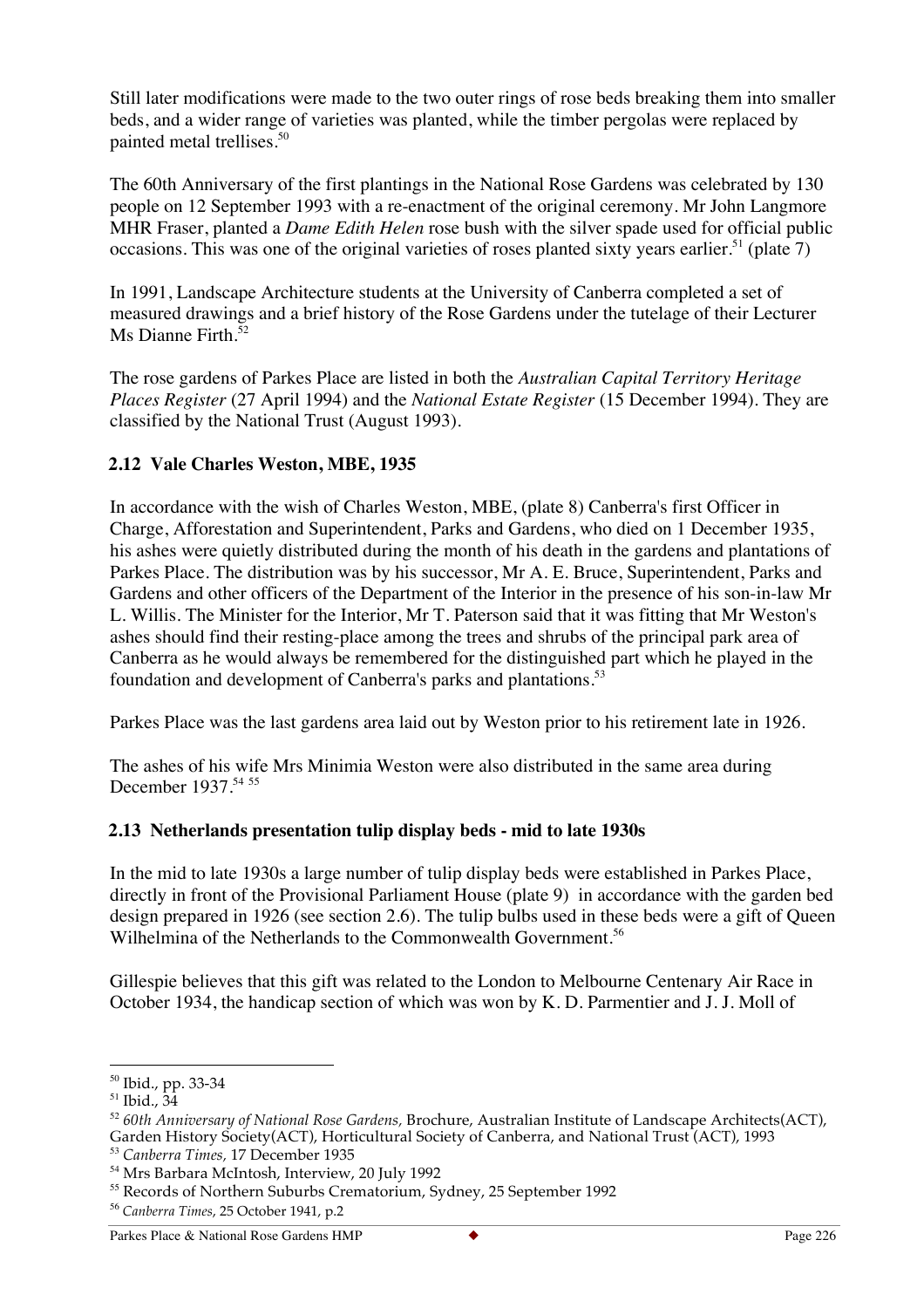Still later modifications were made to the two outer rings of rose beds breaking them into smaller beds, and a wider range of varieties was planted, while the timber pergolas were replaced by painted metal trellises.<sup>50</sup>

The 60th Anniversary of the first plantings in the National Rose Gardens was celebrated by 130 people on 12 September 1993 with a re-enactment of the original ceremony. Mr John Langmore MHR Fraser, planted a *Dame Edith Helen* rose bush with the silver spade used for official public occasions. This was one of the original varieties of roses planted sixty years earlier.<sup>51</sup> (plate 7)

In 1991, Landscape Architecture students at the University of Canberra completed a set of measured drawings and a brief history of the Rose Gardens under the tutelage of their Lecturer Ms Dianne Firth. $52$ 

The rose gardens of Parkes Place are listed in both the *Australian Capital Territory Heritage Places Register* (27 April 1994) and the *National Estate Register* (15 December 1994). They are classified by the National Trust (August 1993).

# **2.12 Vale Charles Weston, MBE, 1935**

In accordance with the wish of Charles Weston, MBE, (plate 8) Canberra's first Officer in Charge, Afforestation and Superintendent, Parks and Gardens, who died on 1 December 1935, his ashes were quietly distributed during the month of his death in the gardens and plantations of Parkes Place. The distribution was by his successor, Mr A. E. Bruce, Superintendent, Parks and Gardens and other officers of the Department of the Interior in the presence of his son-in-law Mr L. Willis. The Minister for the Interior, Mr T. Paterson said that it was fitting that Mr Weston's ashes should find their resting-place among the trees and shrubs of the principal park area of Canberra as he would always be remembered for the distinguished part which he played in the foundation and development of Canberra's parks and plantations.<sup>53</sup>

Parkes Place was the last gardens area laid out by Weston prior to his retirement late in 1926.

The ashes of his wife Mrs Minimia Weston were also distributed in the same area during December 1937.<sup>54 55</sup>

#### **2.13 Netherlands presentation tulip display beds - mid to late 1930s**

In the mid to late 1930s a large number of tulip display beds were established in Parkes Place, directly in front of the Provisional Parliament House (plate 9) in accordance with the garden bed design prepared in 1926 (see section 2.6). The tulip bulbs used in these beds were a gift of Queen Wilhelmina of the Netherlands to the Commonwealth Government.<sup>56</sup>

Gillespie believes that this gift was related to the London to Melbourne Centenary Air Race in October 1934, the handicap section of which was won by K. D. Parmentier and J. J. Moll of

 <sup>50</sup> Ibid., pp. 33-34

<sup>51</sup> Ibid., 34

<sup>52</sup> *60th Anniversary of National Rose Gardens,* Brochure, Australian Institute of Landscape Architects(ACT), Garden History Society(ACT), Horticultural Society of Canberra, and National Trust (ACT), 1993

<sup>53</sup> *Canberra Times,* 17 December 1935

<sup>54</sup> Mrs Barbara McIntosh, Interview, 20 July 1992

<sup>&</sup>lt;sup>55</sup> Records of Northern Suburbs Crematorium, Sydney, 25 September 1992

<sup>56</sup> *Canberra Times*, 25 October 1941, p.2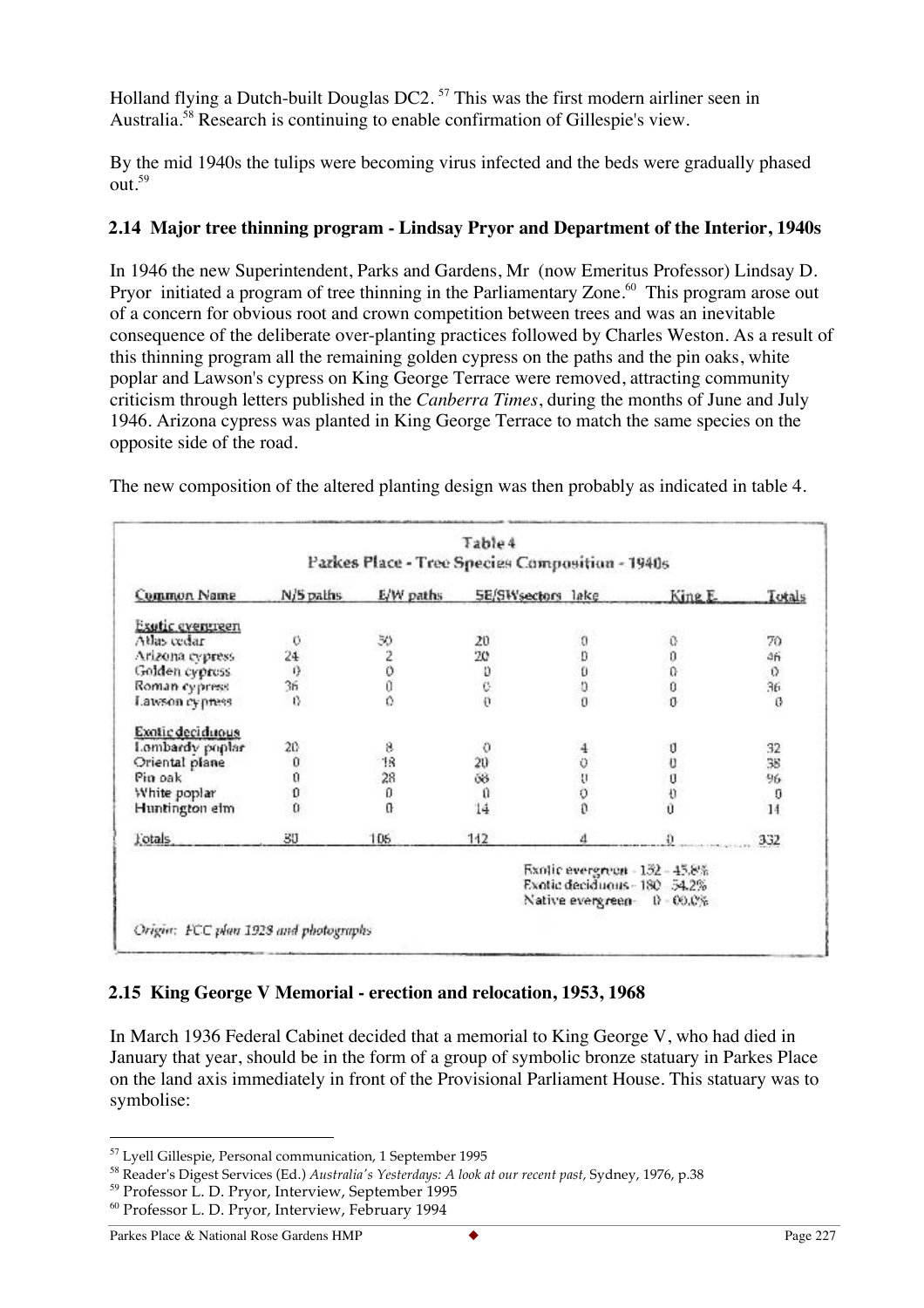Holland flying a Dutch-built Douglas DC2.<sup>57</sup> This was the first modern airliner seen in Australia.<sup>58</sup> Research is continuing to enable confirmation of Gillespie's view.

By the mid 1940s the tulips were becoming virus infected and the beds were gradually phased out.59

#### **2.14 Major tree thinning program - Lindsay Pryor and Department of the Interior, 1940s**

In 1946 the new Superintendent, Parks and Gardens, Mr (now Emeritus Professor) Lindsay D. Pryor initiated a program of tree thinning in the Parliamentary Zone.<sup>60</sup> This program arose out of a concern for obvious root and crown competition between trees and was an inevitable consequence of the deliberate over-planting practices followed by Charles Weston. As a result of this thinning program all the remaining golden cypress on the paths and the pin oaks, white poplar and Lawson's cypress on King George Terrace were removed, attracting community criticism through letters published in the *Canberra Times*, during the months of June and July 1946. Arizona cypress was planted in King George Terrace to match the same species on the opposite side of the road.

The new composition of the altered planting design was then probably as indicated in table 4.

|                  | Table 4<br>Parkes Place - Tree Species Composition - 1940s |                         |                   |                  |                                                                                |          |  |
|------------------|------------------------------------------------------------|-------------------------|-------------------|------------------|--------------------------------------------------------------------------------|----------|--|
| Common Name      | N/S palhs                                                  | E/W paths               | 5E/SWsectors lake |                  | King E.                                                                        | Totals   |  |
| Exutic evengreen |                                                            |                         |                   |                  |                                                                                |          |  |
| Atlas cedar      | o                                                          | 30                      | 20                | ū                | €                                                                              | 70       |  |
| Arizona cypress  | $^{24}$                                                    | $\overline{\mathbf{c}}$ | 20                |                  | 0                                                                              | ăń       |  |
| Golden cypross   | 0                                                          | Ö                       |                   | 000              | û                                                                              | 0        |  |
| Roman cypress    | 36                                                         | Ŏ                       | $\frac{0}{C}$     |                  | $\bf{0}$                                                                       | 36.      |  |
| Lawson cypness   | 0                                                          | ò                       | ö                 | $\theta$         | $\mathbf{0}$                                                                   | $\theta$ |  |
| Exotic deciduous |                                                            |                         |                   |                  |                                                                                |          |  |
| Lombardy poplar  | 20                                                         | 8                       | 0                 | 4                | U                                                                              | 32       |  |
| Oriental plane   | Ũ                                                          | 18                      | 20                |                  | Ü                                                                              | 38       |  |
| Pin oak          | 0                                                          | 28                      | 68                | 5050             | U.                                                                             | 96       |  |
| White poplar     | Ũ                                                          | o                       | ũ                 |                  | Đ                                                                              | O        |  |
| Huntington elm   | ö                                                          | ū                       | 14                |                  | Ù                                                                              | 14       |  |
| l'otals.         | 30                                                         | 105                     | 112               |                  |                                                                                | 332      |  |
|                  |                                                            |                         |                   | Native evergreen | Exolic evergreen - 152 - 45.8%<br>Exotic deciduous - 180 54.2%<br>$0 - 00.0\%$ |          |  |

#### **2.15 King George V Memorial - erection and relocation, 1953, 1968**

In March 1936 Federal Cabinet decided that a memorial to King George V, who had died in January that year, should be in the form of a group of symbolic bronze statuary in Parkes Place on the land axis immediately in front of the Provisional Parliament House. This statuary was to symbolise:

 <sup>57</sup> Lyell Gillespie, Personal communication, 1 September 1995

<sup>58</sup> Reader's Digest Services (Ed.) *Australia's Yesterdays: A look at our recent past,* Sydney, 1976, p.38

<sup>&</sup>lt;sup>59</sup> Professor L. D. Pryor, Interview, September 1995

<sup>60</sup> Professor L. D. Pryor, Interview, February 1994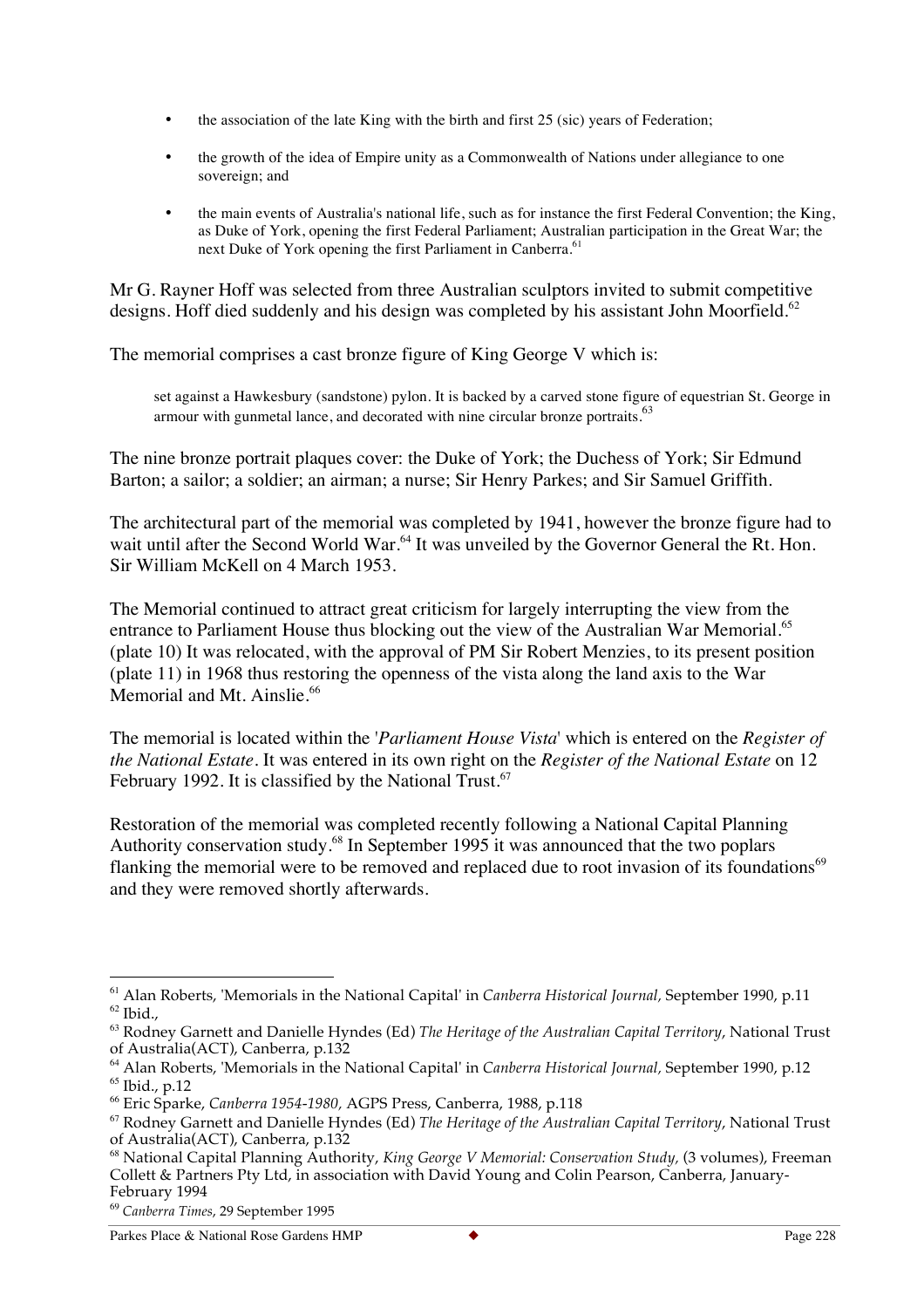- the association of the late King with the birth and first 25 (sic) years of Federation;
- the growth of the idea of Empire unity as a Commonwealth of Nations under allegiance to one sovereign; and
- the main events of Australia's national life, such as for instance the first Federal Convention; the King, as Duke of York, opening the first Federal Parliament; Australian participation in the Great War; the next Duke of York opening the first Parliament in Canberra.<sup>61</sup>

Mr G. Rayner Hoff was selected from three Australian sculptors invited to submit competitive designs. Hoff died suddenly and his design was completed by his assistant John Moorfield.<sup>62</sup>

The memorial comprises a cast bronze figure of King George V which is:

set against a Hawkesbury (sandstone) pylon. It is backed by a carved stone figure of equestrian St. George in armour with gunmetal lance, and decorated with nine circular bronze portraits.<sup>63</sup>

The nine bronze portrait plaques cover: the Duke of York; the Duchess of York; Sir Edmund Barton; a sailor; a soldier; an airman; a nurse; Sir Henry Parkes; and Sir Samuel Griffith.

The architectural part of the memorial was completed by 1941, however the bronze figure had to wait until after the Second World War.<sup>64</sup> It was unveiled by the Governor General the Rt. Hon. Sir William McKell on 4 March 1953.

The Memorial continued to attract great criticism for largely interrupting the view from the entrance to Parliament House thus blocking out the view of the Australian War Memorial.<sup>65</sup> (plate 10) It was relocated, with the approval of PM Sir Robert Menzies, to its present position (plate 11) in 1968 thus restoring the openness of the vista along the land axis to the War Memorial and Mt. Ainslie.<sup>66</sup>

The memorial is located within the '*Parliament House Vista*' which is entered on the *Register of the National Estate.* It was entered in its own right on the *Register of the National Estate* on 12 February 1992. It is classified by the National Trust.<sup>67</sup>

Restoration of the memorial was completed recently following a National Capital Planning Authority conservation study.<sup>68</sup> In September 1995 it was announced that the two poplars flanking the memorial were to be removed and replaced due to root invasion of its foundations<sup>69</sup> and they were removed shortly afterwards.

 <sup>61</sup> Alan Roberts, 'Memorials in the National Capital' in *Canberra Historical Journal,* September 1990, p.11  $62$  Ibid.,

<sup>63</sup> Rodney Garnett and Danielle Hyndes (Ed) *The Heritage of the Australian Capital Territory*, National Trust of Australia(ACT), Canberra, p.132

<sup>64</sup> Alan Roberts, 'Memorials in the National Capital' in *Canberra Historical Journal,* September 1990, p.12 <sup>65</sup> Ibid., p.12

<sup>66</sup> Eric Sparke, *Canberra 1954-1980,* AGPS Press, Canberra, 1988, p.118

<sup>67</sup> Rodney Garnett and Danielle Hyndes (Ed) *The Heritage of the Australian Capital Territory*, National Trust of Australia(ACT), Canberra, p.132

<sup>68</sup> National Capital Planning Authority, *King George V Memorial: Conservation Study,* (3 volumes), Freeman Collett & Partners Pty Ltd, in association with David Young and Colin Pearson, Canberra, January-February 1994

<sup>69</sup> *Canberra Times*, 29 September 1995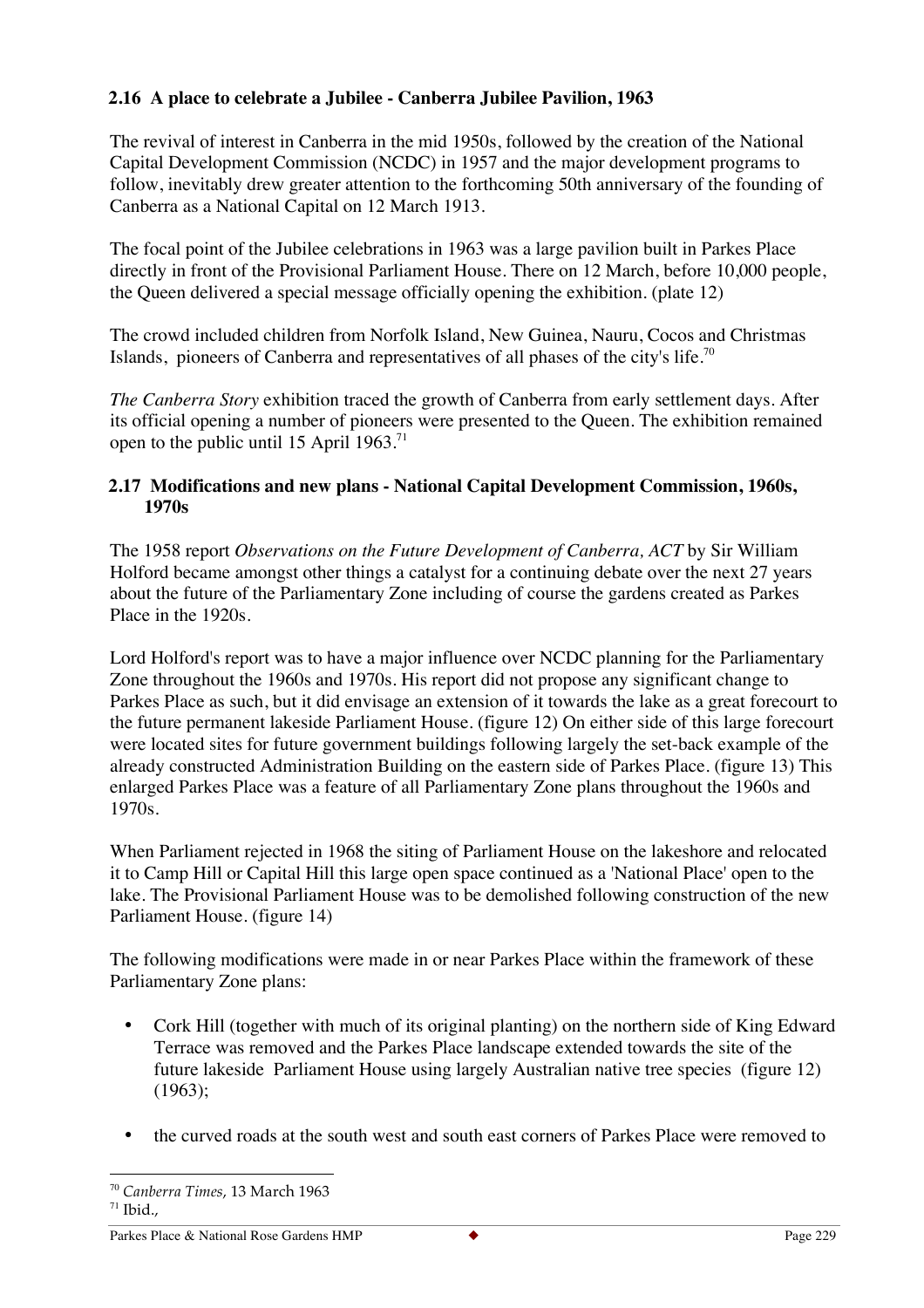# **2.16 A place to celebrate a Jubilee - Canberra Jubilee Pavilion, 1963**

The revival of interest in Canberra in the mid 1950s, followed by the creation of the National Capital Development Commission (NCDC) in 1957 and the major development programs to follow, inevitably drew greater attention to the forthcoming 50th anniversary of the founding of Canberra as a National Capital on 12 March 1913.

The focal point of the Jubilee celebrations in 1963 was a large pavilion built in Parkes Place directly in front of the Provisional Parliament House. There on 12 March, before 10,000 people, the Queen delivered a special message officially opening the exhibition. (plate 12)

The crowd included children from Norfolk Island, New Guinea, Nauru, Cocos and Christmas Islands, pioneers of Canberra and representatives of all phases of the city's life.<sup>70</sup>

*The Canberra Story* exhibition traced the growth of Canberra from early settlement days. After its official opening a number of pioneers were presented to the Queen. The exhibition remained open to the public until 15 April 1963.<sup>71</sup>

### **2.17 Modifications and new plans - National Capital Development Commission, 1960s, 1970s**

The 1958 report *Observations on the Future Development of Canberra, ACT* by Sir William Holford became amongst other things a catalyst for a continuing debate over the next 27 years about the future of the Parliamentary Zone including of course the gardens created as Parkes Place in the 1920s.

Lord Holford's report was to have a major influence over NCDC planning for the Parliamentary Zone throughout the 1960s and 1970s. His report did not propose any significant change to Parkes Place as such, but it did envisage an extension of it towards the lake as a great forecourt to the future permanent lakeside Parliament House. (figure 12) On either side of this large forecourt were located sites for future government buildings following largely the set-back example of the already constructed Administration Building on the eastern side of Parkes Place. (figure 13) This enlarged Parkes Place was a feature of all Parliamentary Zone plans throughout the 1960s and 1970s.

When Parliament rejected in 1968 the siting of Parliament House on the lakeshore and relocated it to Camp Hill or Capital Hill this large open space continued as a 'National Place' open to the lake. The Provisional Parliament House was to be demolished following construction of the new Parliament House. (figure 14)

The following modifications were made in or near Parkes Place within the framework of these Parliamentary Zone plans:

- Cork Hill (together with much of its original planting) on the northern side of King Edward Terrace was removed and the Parkes Place landscape extended towards the site of the future lakeside Parliament House using largely Australian native tree species (figure 12) (1963);
- the curved roads at the south west and south east corners of Parkes Place were removed to

 <sup>70</sup> *Canberra Times*, 13 March 1963  $71$  Ibid.,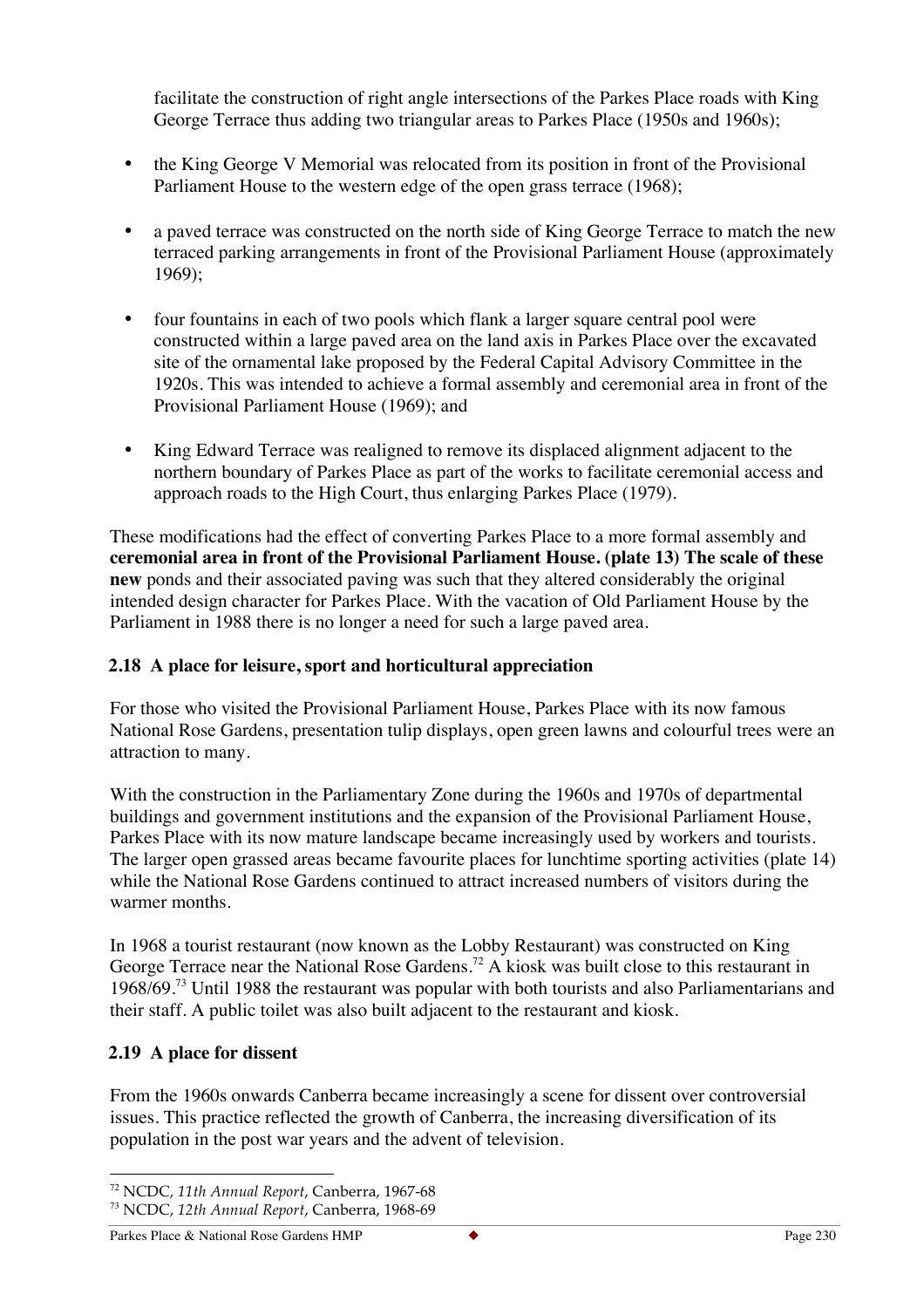facilitate the construction of right angle intersections of the Parkes Place roads with King George Terrace thus adding two triangular areas to Parkes Place (1950s and 1960s);

- the King George V Memorial was relocated from its position in front of the Provisional Parliament House to the western edge of the open grass terrace (1968);
- a paved terrace was constructed on the north side of King George Terrace to match the new terraced parking arrangements in front of the Provisional Parliament House (approximately 1969);
- four fountains in each of two pools which flank a larger square central pool were constructed within a large paved area on the land axis in Parkes Place over the excavated site of the ornamental lake proposed by the Federal Capital Advisory Committee in the 1920s. This was intended to achieve a formal assembly and ceremonial area in front of the Provisional Parliament House (1969); and
- King Edward Terrace was realigned to remove its displaced alignment adjacent to the northern boundary of Parkes Place as part of the works to facilitate ceremonial access and approach roads to the High Court, thus enlarging Parkes Place (1979).

These modifications had the effect of converting Parkes Place to a more formal assembly and **ceremonial area in front of the Provisional Parliament House. (plate 13) The scale of these new** ponds and their associated paving was such that they altered considerably the original intended design character for Parkes Place. With the vacation of Old Parliament House by the Parliament in 1988 there is no longer a need for such a large paved area.

# **2.18 A place for leisure, sport and horticultural appreciation**

For those who visited the Provisional Parliament House, Parkes Place with its now famous National Rose Gardens, presentation tulip displays, open green lawns and colourful trees were an attraction to many.

With the construction in the Parliamentary Zone during the 1960s and 1970s of departmental buildings and government institutions and the expansion of the Provisional Parliament House, Parkes Place with its now mature landscape became increasingly used by workers and tourists. The larger open grassed areas became favourite places for lunchtime sporting activities (plate 14) while the National Rose Gardens continued to attract increased numbers of visitors during the warmer months.

In 1968 a tourist restaurant (now known as the Lobby Restaurant) was constructed on King George Terrace near the National Rose Gardens.<sup>72</sup> A kiosk was built close to this restaurant in 1968/69.73 Until 1988 the restaurant was popular with both tourists and also Parliamentarians and their staff. A public toilet was also built adjacent to the restaurant and kiosk.

# **2.19 A place for dissent**

From the 1960s onwards Canberra became increasingly a scene for dissent over controversial issues. This practice reflected the growth of Canberra, the increasing diversification of its population in the post war years and the advent of television.

 <sup>72</sup> NCDC, *11th Annual Report*, Canberra, 1967-68 <sup>73</sup> NCDC, *12th Annual Report*, Canberra, 1968-69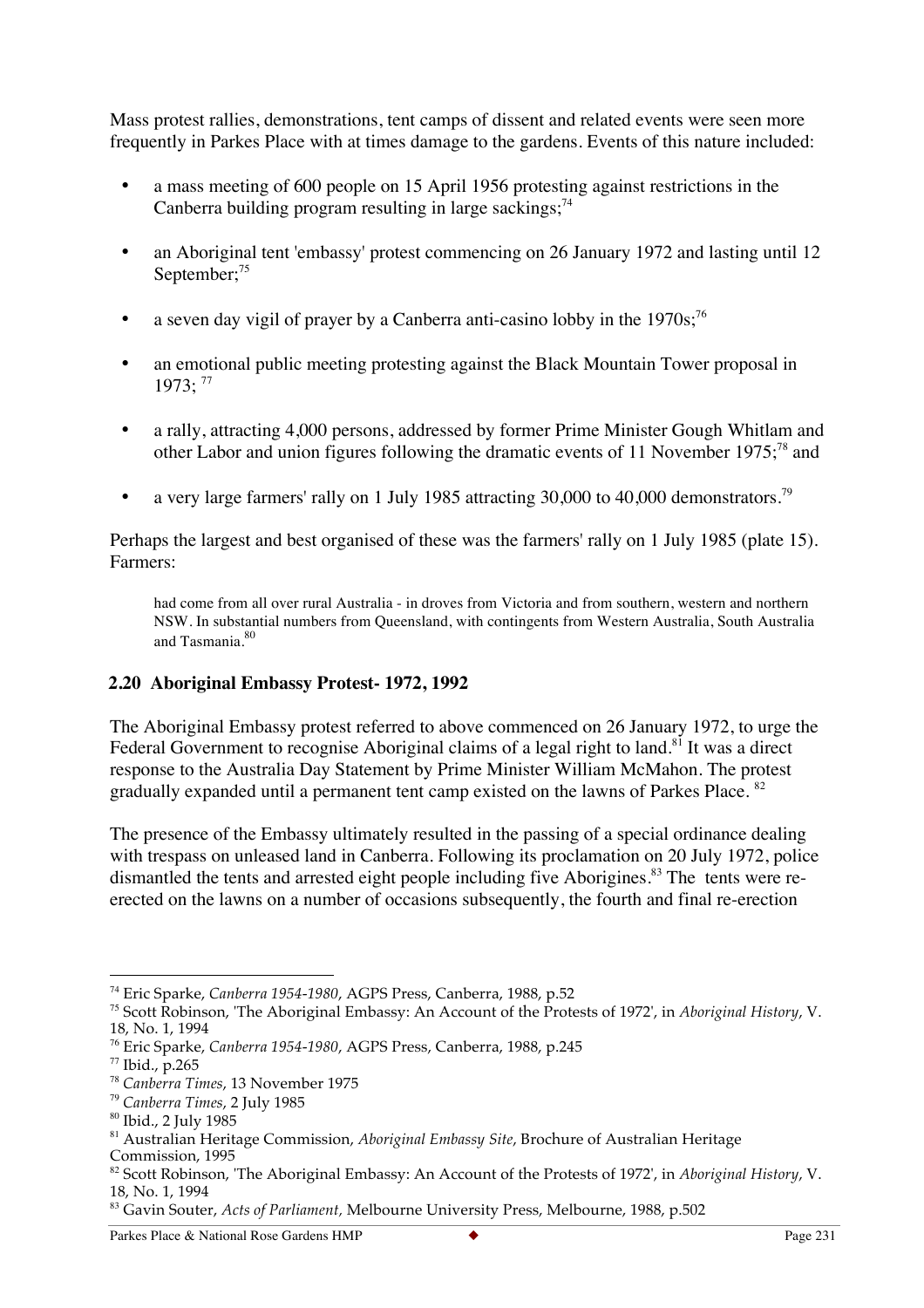Mass protest rallies, demonstrations, tent camps of dissent and related events were seen more frequently in Parkes Place with at times damage to the gardens. Events of this nature included:

- a mass meeting of 600 people on 15 April 1956 protesting against restrictions in the Canberra building program resulting in large sackings;<sup>74</sup>
- an Aboriginal tent 'embassy' protest commencing on 26 January 1972 and lasting until 12 September;<sup>75</sup>
- a seven day vigil of prayer by a Canberra anti-casino lobby in the  $1970s$ ;<sup>76</sup>
- an emotional public meeting protesting against the Black Mountain Tower proposal in  $1973:$ <sup>77</sup>
- a rally, attracting 4,000 persons, addressed by former Prime Minister Gough Whitlam and other Labor and union figures following the dramatic events of 11 November 1975;<sup>78</sup> and
- a very large farmers' rally on 1 July 1985 attracting 30,000 to 40,000 demonstrators.<sup>79</sup>

Perhaps the largest and best organised of these was the farmers' rally on 1 July 1985 (plate 15). Farmers:

had come from all over rural Australia - in droves from Victoria and from southern, western and northern NSW. In substantial numbers from Queensland, with contingents from Western Australia, South Australia and Tasmania.<sup>80</sup>

#### **2.20 Aboriginal Embassy Protest- 1972, 1992**

The Aboriginal Embassy protest referred to above commenced on 26 January 1972, to urge the Federal Government to recognise Aboriginal claims of a legal right to land.<sup>81</sup> It was a direct response to the Australia Day Statement by Prime Minister William McMahon. The protest gradually expanded until a permanent tent camp existed on the lawns of Parkes Place. <sup>82</sup>

The presence of the Embassy ultimately resulted in the passing of a special ordinance dealing with trespass on unleased land in Canberra. Following its proclamation on 20 July 1972, police dismantled the tents and arrested eight people including five Aborigines.<sup>83</sup> The tents were reerected on the lawns on a number of occasions subsequently, the fourth and final re-erection

 <sup>74</sup> Eric Sparke, *Canberra 1954-1980*, AGPS Press, Canberra, 1988, p.52

<sup>75</sup> Scott Robinson, 'The Aboriginal Embassy: An Account of the Protests of 1972', in *Aboriginal History*, V. 18, No. 1, 1994

<sup>76</sup> Eric Sparke, *Canberra 1954-1980*, AGPS Press, Canberra, 1988, p.245

 $77$  Ibid., p. 265

<sup>78</sup> *Canberra Times*, 13 November 1975

<sup>79</sup> *Canberra Times*, 2 July 1985

<sup>80</sup> Ibid., 2 July 1985

<sup>81</sup> Australian Heritage Commission, *Aboriginal Embassy Site*, Brochure of Australian Heritage Commission, 1995

<sup>82</sup> Scott Robinson, 'The Aboriginal Embassy: An Account of the Protests of 1972', in *Aboriginal History*, V. 18, No. 1, 1994

<sup>83</sup> Gavin Souter, *Acts of Parliament,* Melbourne University Press, Melbourne, 1988, p.502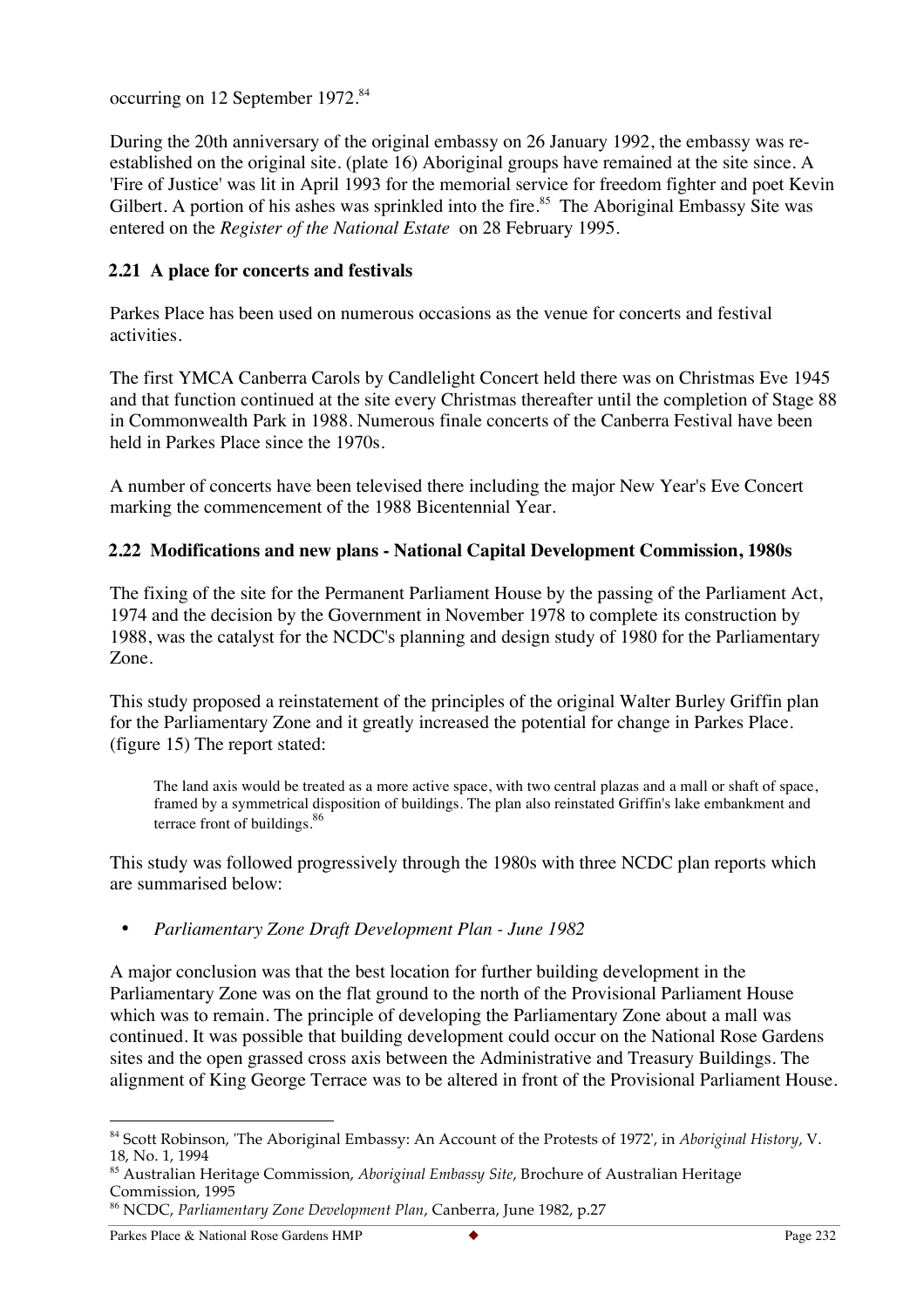occurring on 12 September 1972.<sup>84</sup>

During the 20th anniversary of the original embassy on 26 January 1992, the embassy was reestablished on the original site. (plate 16) Aboriginal groups have remained at the site since. A 'Fire of Justice' was lit in April 1993 for the memorial service for freedom fighter and poet Kevin Gilbert. A portion of his ashes was sprinkled into the fire.<sup>85</sup> The Aboriginal Embassy Site was entered on the *Register of the National Estate* on 28 February 1995.

# **2.21 A place for concerts and festivals**

Parkes Place has been used on numerous occasions as the venue for concerts and festival activities.

The first YMCA Canberra Carols by Candlelight Concert held there was on Christmas Eve 1945 and that function continued at the site every Christmas thereafter until the completion of Stage 88 in Commonwealth Park in 1988. Numerous finale concerts of the Canberra Festival have been held in Parkes Place since the 1970s.

A number of concerts have been televised there including the major New Year's Eve Concert marking the commencement of the 1988 Bicentennial Year.

# **2.22 Modifications and new plans - National Capital Development Commission, 1980s**

The fixing of the site for the Permanent Parliament House by the passing of the Parliament Act, 1974 and the decision by the Government in November 1978 to complete its construction by 1988, was the catalyst for the NCDC's planning and design study of 1980 for the Parliamentary Zone.

This study proposed a reinstatement of the principles of the original Walter Burley Griffin plan for the Parliamentary Zone and it greatly increased the potential for change in Parkes Place. (figure 15) The report stated:

The land axis would be treated as a more active space, with two central plazas and a mall or shaft of space, framed by a symmetrical disposition of buildings. The plan also reinstated Griffin's lake embankment and terrace front of buildings.<sup>86</sup>

This study was followed progressively through the 1980s with three NCDC plan reports which are summarised below:

#### • *Parliamentary Zone Draft Development Plan - June 1982*

A major conclusion was that the best location for further building development in the Parliamentary Zone was on the flat ground to the north of the Provisional Parliament House which was to remain. The principle of developing the Parliamentary Zone about a mall was continued. It was possible that building development could occur on the National Rose Gardens sites and the open grassed cross axis between the Administrative and Treasury Buildings. The alignment of King George Terrace was to be altered in front of the Provisional Parliament House.

 <sup>84</sup> Scott Robinson, 'The Aboriginal Embassy: An Account of the Protests of 1972', in *Aboriginal History*, V. 18, No. 1, 1994

<sup>85</sup> Australian Heritage Commission, *Aboriginal Embassy Site*, Brochure of Australian Heritage Commission, 1995

<sup>86</sup> NCDC, *Parliamentary Zone Development Plan*, Canberra, June 1982, p.27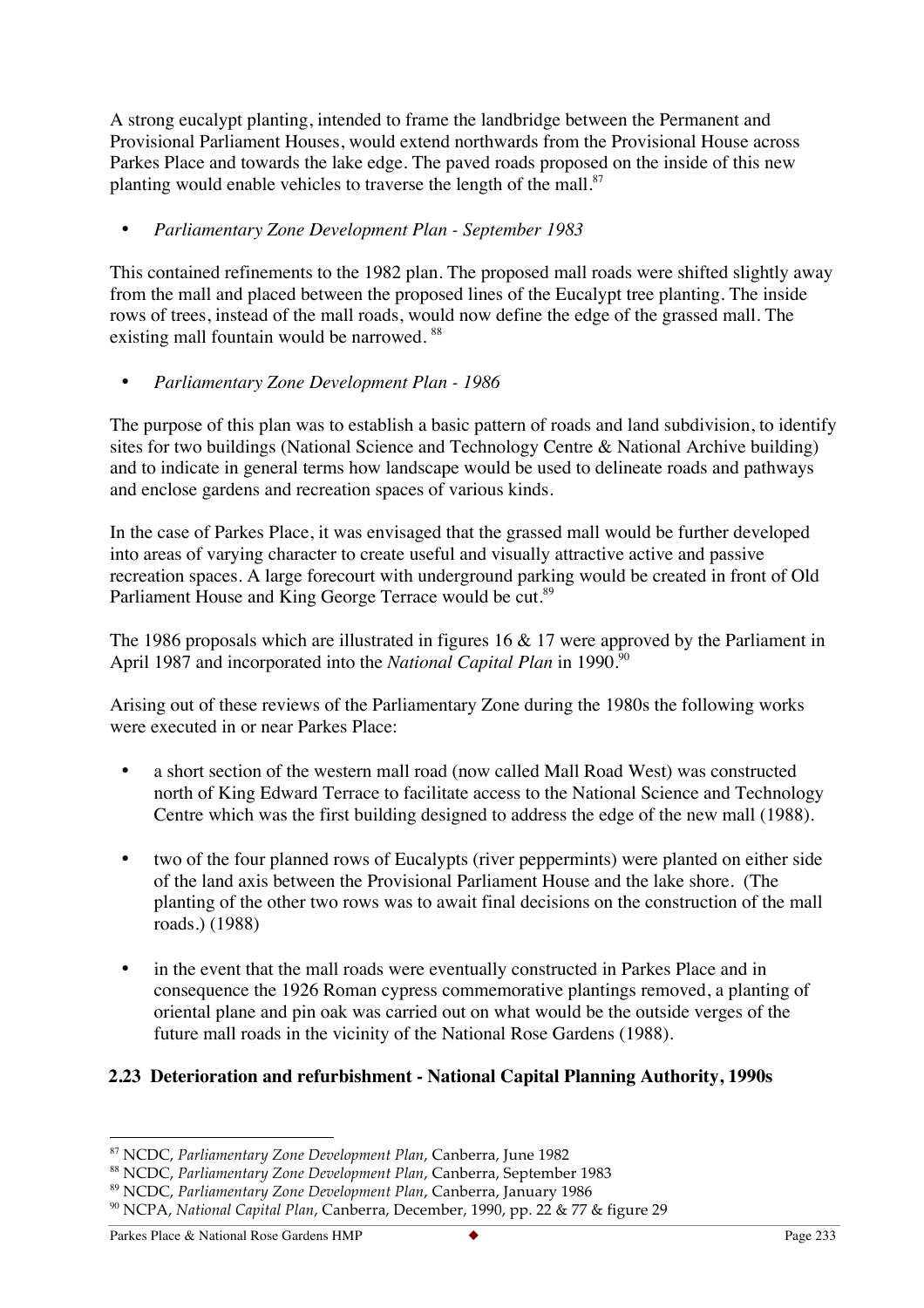A strong eucalypt planting, intended to frame the landbridge between the Permanent and Provisional Parliament Houses, would extend northwards from the Provisional House across Parkes Place and towards the lake edge. The paved roads proposed on the inside of this new planting would enable vehicles to traverse the length of the mall.<sup>87</sup>

# • *Parliamentary Zone Development Plan - September 1983*

This contained refinements to the 1982 plan. The proposed mall roads were shifted slightly away from the mall and placed between the proposed lines of the Eucalypt tree planting. The inside rows of trees, instead of the mall roads, would now define the edge of the grassed mall. The existing mall fountain would be narrowed.<sup>88</sup>

# • *Parliamentary Zone Development Plan - 1986*

The purpose of this plan was to establish a basic pattern of roads and land subdivision, to identify sites for two buildings (National Science and Technology Centre & National Archive building) and to indicate in general terms how landscape would be used to delineate roads and pathways and enclose gardens and recreation spaces of various kinds.

In the case of Parkes Place, it was envisaged that the grassed mall would be further developed into areas of varying character to create useful and visually attractive active and passive recreation spaces. A large forecourt with underground parking would be created in front of Old Parliament House and King George Terrace would be cut.<sup>89</sup>

The 1986 proposals which are illustrated in figures 16 & 17 were approved by the Parliament in April 1987 and incorporated into the *National Capital Plan* in 1990.<sup>90</sup>

Arising out of these reviews of the Parliamentary Zone during the 1980s the following works were executed in or near Parkes Place:

- a short section of the western mall road (now called Mall Road West) was constructed north of King Edward Terrace to facilitate access to the National Science and Technology Centre which was the first building designed to address the edge of the new mall (1988).
- two of the four planned rows of Eucalypts (river peppermints) were planted on either side of the land axis between the Provisional Parliament House and the lake shore. (The planting of the other two rows was to await final decisions on the construction of the mall roads.) (1988)
- in the event that the mall roads were eventually constructed in Parkes Place and in consequence the 1926 Roman cypress commemorative plantings removed, a planting of oriental plane and pin oak was carried out on what would be the outside verges of the future mall roads in the vicinity of the National Rose Gardens (1988).

# **2.23 Deterioration and refurbishment - National Capital Planning Authority, 1990s**

 <sup>87</sup> NCDC, *Parliamentary Zone Development Plan*, Canberra, June 1982

<sup>88</sup> NCDC, *Parliamentary Zone Development Plan*, Canberra, September 1983

<sup>89</sup> NCDC, *Parliamentary Zone Development Plan*, Canberra, January 1986

<sup>90</sup> NCPA, *National Capital Plan*, Canberra, December, 1990, pp. 22 & 77 & figure 29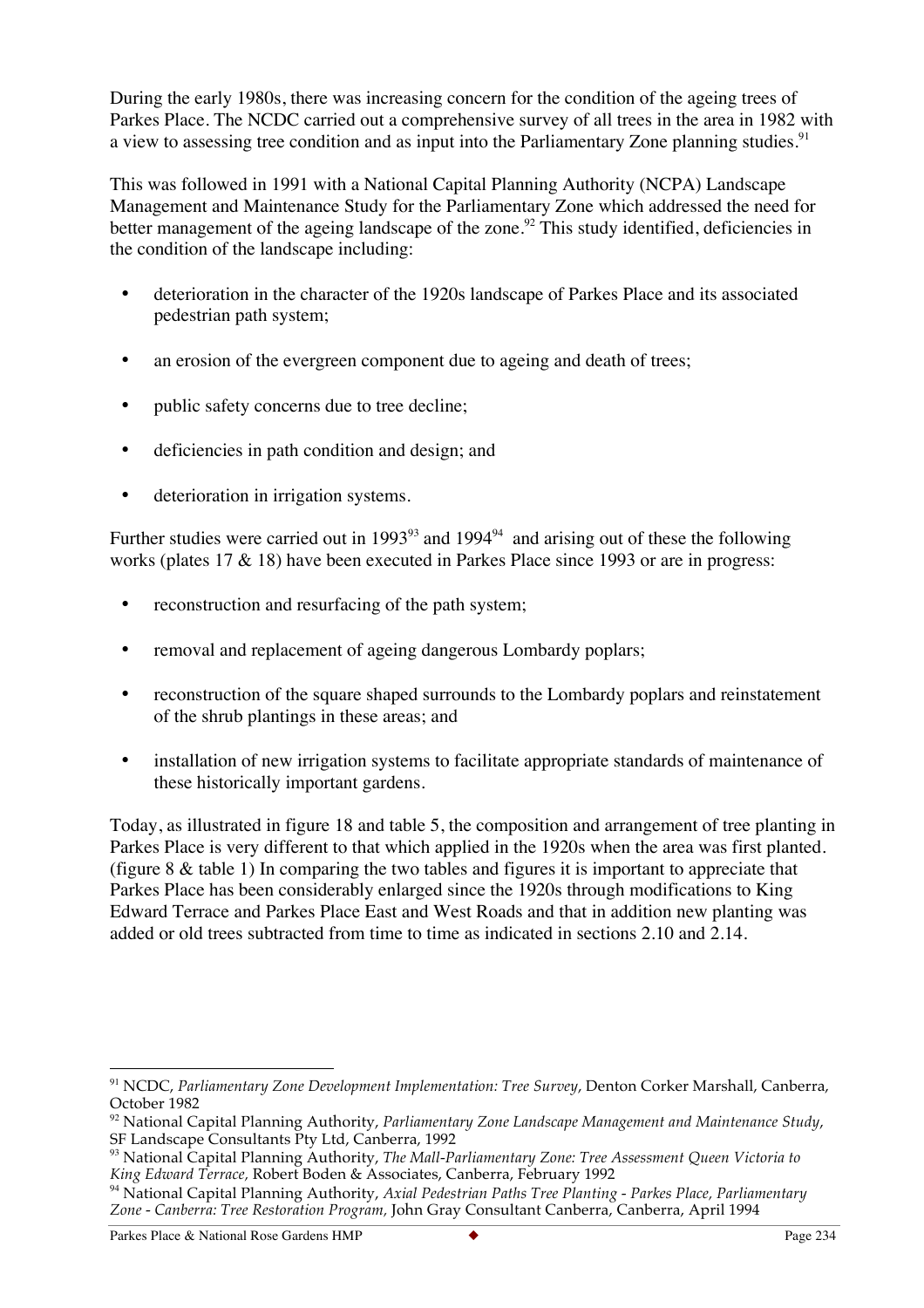During the early 1980s, there was increasing concern for the condition of the ageing trees of Parkes Place. The NCDC carried out a comprehensive survey of all trees in the area in 1982 with a view to assessing tree condition and as input into the Parliamentary Zone planning studies.<sup>91</sup>

This was followed in 1991 with a National Capital Planning Authority (NCPA) Landscape Management and Maintenance Study for the Parliamentary Zone which addressed the need for better management of the ageing landscape of the zone.<sup>92</sup> This study identified, deficiencies in the condition of the landscape including:

- deterioration in the character of the 1920s landscape of Parkes Place and its associated pedestrian path system;
- an erosion of the evergreen component due to ageing and death of trees;
- public safety concerns due to tree decline;
- deficiencies in path condition and design; and
- deterioration in irrigation systems.

Further studies were carried out in 1993<sup>93</sup> and 1994<sup>94</sup> and arising out of these the following works (plates 17 & 18) have been executed in Parkes Place since 1993 or are in progress:

- reconstruction and resurfacing of the path system:
- removal and replacement of ageing dangerous Lombardy poplars;
- reconstruction of the square shaped surrounds to the Lombardy poplars and reinstatement of the shrub plantings in these areas; and
- installation of new irrigation systems to facilitate appropriate standards of maintenance of these historically important gardens.

Today, as illustrated in figure 18 and table 5, the composition and arrangement of tree planting in Parkes Place is very different to that which applied in the 1920s when the area was first planted. (figure 8 & table 1) In comparing the two tables and figures it is important to appreciate that Parkes Place has been considerably enlarged since the 1920s through modifications to King Edward Terrace and Parkes Place East and West Roads and that in addition new planting was added or old trees subtracted from time to time as indicated in sections 2.10 and 2.14.

 <sup>91</sup> NCDC, *Parliamentary Zone Development Implementation: Tree Survey*, Denton Corker Marshall, Canberra, October 1982

<sup>92</sup> National Capital Planning Authority, *Parliamentary Zone Landscape Management and Maintenance Study*, SF Landscape Consultants Pty Ltd, Canberra, 1992

<sup>93</sup> National Capital Planning Authority, *The Mall-Parliamentary Zone: Tree Assessment Queen Victoria to King Edward Terrace,* Robert Boden & Associates, Canberra, February 1992

<sup>94</sup> National Capital Planning Authority, *Axial Pedestrian Paths Tree Planting - Parkes Place, Parliamentary Zone - Canberra: Tree Restoration Program,* John Gray Consultant Canberra, Canberra, April 1994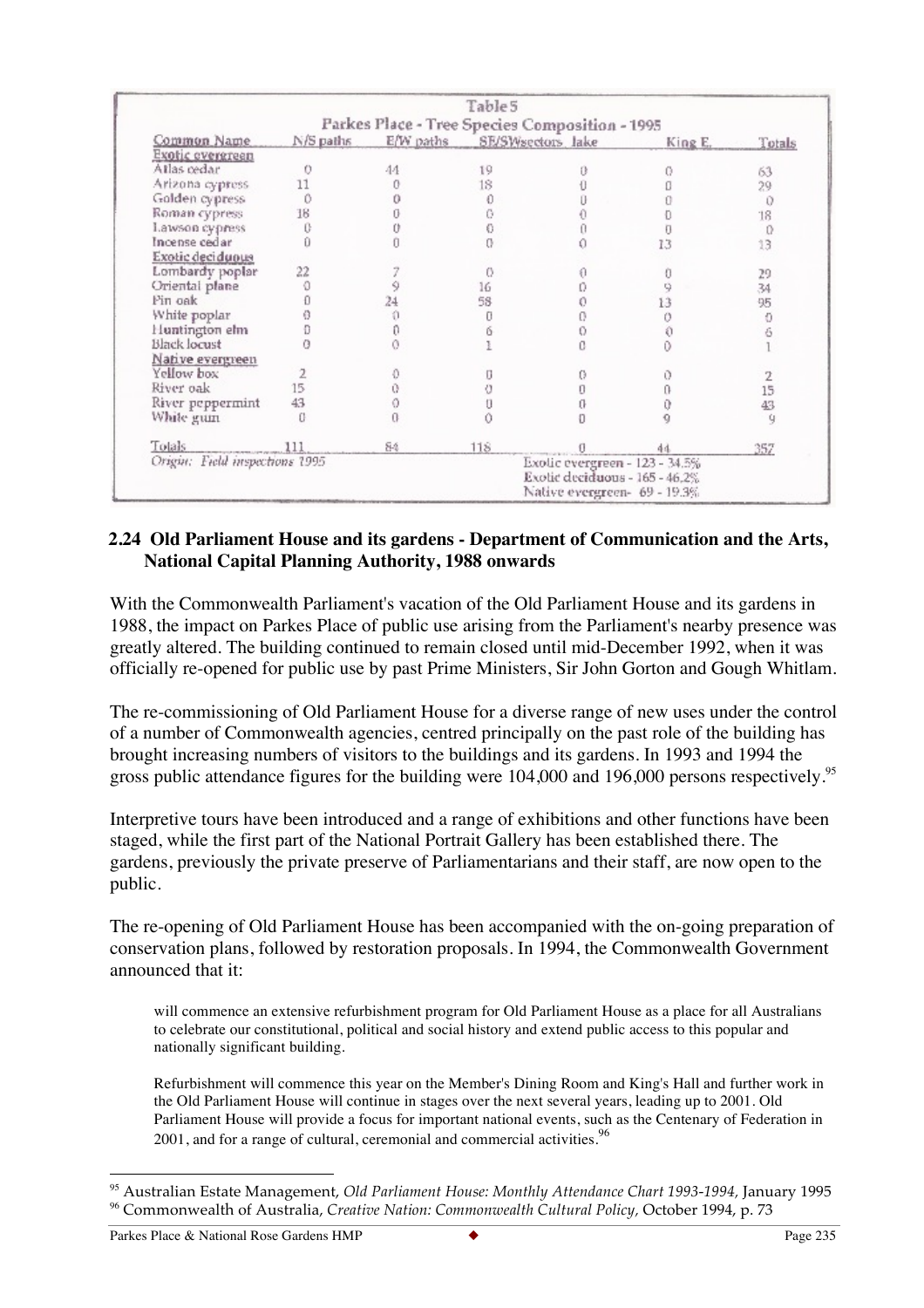|                                |                                                |    | Table 5                     |  |                                                                                                  |        |  |
|--------------------------------|------------------------------------------------|----|-----------------------------|--|--------------------------------------------------------------------------------------------------|--------|--|
|                                | Parkes Place - Tree Species Composition - 1995 |    |                             |  |                                                                                                  |        |  |
| Common Name                    | N/S paths                                      |    | E/W paths SE/SWsectors lake |  | King E.                                                                                          | Totals |  |
| Exotic evergreen               |                                                |    |                             |  |                                                                                                  |        |  |
| Atlas cedar                    |                                                | 44 | 19                          |  |                                                                                                  | 63     |  |
| Arizona cypress                | 11                                             |    | 18                          |  |                                                                                                  | 29     |  |
| Golden cypress                 |                                                |    |                             |  |                                                                                                  | 0      |  |
| Roman cypress                  | 18                                             |    |                             |  |                                                                                                  | 18     |  |
| Lawson cypress                 |                                                |    |                             |  |                                                                                                  | 0      |  |
| Incense cedar                  |                                                |    |                             |  | 13                                                                                               | 13     |  |
| Exotic deciduous               |                                                |    |                             |  |                                                                                                  |        |  |
| Lombardy poplar                | 22                                             |    |                             |  |                                                                                                  | 29     |  |
| Oriental plane                 |                                                |    | 16                          |  |                                                                                                  | 34     |  |
| Pin oak                        |                                                |    | 58                          |  |                                                                                                  | 95     |  |
| White poplar                   |                                                |    |                             |  |                                                                                                  | Ő      |  |
| Huntington elm                 |                                                |    |                             |  |                                                                                                  | 6      |  |
| <b>Black locust</b>            |                                                |    |                             |  |                                                                                                  |        |  |
| Native evergreen               |                                                |    |                             |  |                                                                                                  |        |  |
| Yellow box                     |                                                |    |                             |  |                                                                                                  |        |  |
| River oak                      | 15                                             |    |                             |  |                                                                                                  | 15     |  |
| River peppermint               | 43                                             |    |                             |  |                                                                                                  | 43     |  |
| White guin                     |                                                |    |                             |  |                                                                                                  | ÿ      |  |
| Totals                         |                                                | 84 | 118                         |  | 44                                                                                               | 357    |  |
| Origin: Field inspections 1995 |                                                |    |                             |  | Exolic evergreen - 123 - 34.5%<br>Exotic deciduous - 165 - 46,2%<br>Native evergreen- 69 - 19.3% |        |  |

#### **2.24 Old Parliament House and its gardens - Department of Communication and the Arts, National Capital Planning Authority, 1988 onwards**

With the Commonwealth Parliament's vacation of the Old Parliament House and its gardens in 1988, the impact on Parkes Place of public use arising from the Parliament's nearby presence was greatly altered. The building continued to remain closed until mid-December 1992, when it was officially re-opened for public use by past Prime Ministers, Sir John Gorton and Gough Whitlam.

The re-commissioning of Old Parliament House for a diverse range of new uses under the control of a number of Commonwealth agencies, centred principally on the past role of the building has brought increasing numbers of visitors to the buildings and its gardens. In 1993 and 1994 the gross public attendance figures for the building were 104,000 and 196,000 persons respectively.<sup>95</sup>

Interpretive tours have been introduced and a range of exhibitions and other functions have been staged, while the first part of the National Portrait Gallery has been established there. The gardens, previously the private preserve of Parliamentarians and their staff, are now open to the public.

The re-opening of Old Parliament House has been accompanied with the on-going preparation of conservation plans, followed by restoration proposals. In 1994, the Commonwealth Government announced that it:

will commence an extensive refurbishment program for Old Parliament House as a place for all Australians to celebrate our constitutional, political and social history and extend public access to this popular and nationally significant building.

Refurbishment will commence this year on the Member's Dining Room and King's Hall and further work in the Old Parliament House will continue in stages over the next several years, leading up to 2001. Old Parliament House will provide a focus for important national events, such as the Centenary of Federation in  $2001$ , and for a range of cultural, ceremonial and commercial activities.<sup>96</sup>

 <sup>95</sup> Australian Estate Management, *Old Parliament House: Monthly Attendance Chart 1993-1994,* January 1995 <sup>96</sup> Commonwealth of Australia, *Creative Nation: Commonwealth Cultural Policy,* October 1994, p. 73